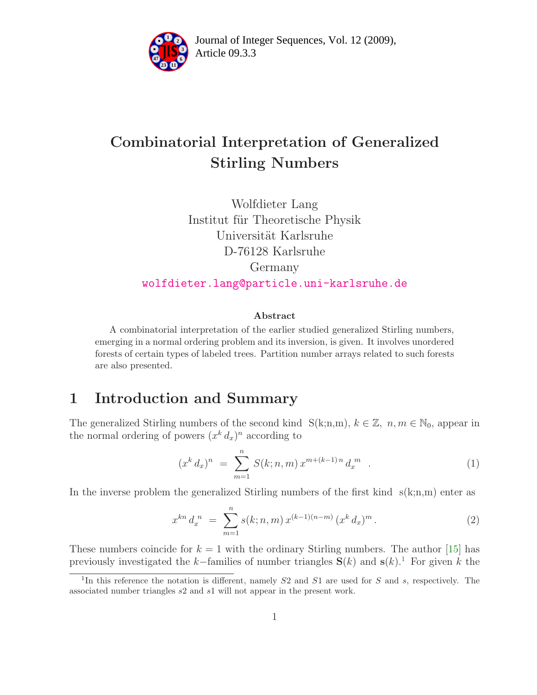

Article 09.3.3 **<sup>2</sup>** Journal of Integer Sequences, Vol. 12 (2009),

# Combinatorial Interpretation of Generalized Stirling Numbers

Wolfdieter Lang Institut für Theoretische Physik Universität Karlsruhe D-76128 Karlsruhe Germany [wolfdieter.lang@particle.uni-karlsruhe.de](mailto:wolfdieter.lang@particle.uni-karlsruhe.de)

## Abstract

A combinatorial interpretation of the earlier studied generalized Stirling numbers, emerging in a normal ordering problem and its inversion, is given. It involves unordered forests of certain types of labeled trees. Partition number arrays related to such forests are also presented.

# 1 Introduction and Summary

The generalized Stirling numbers of the second kind  $S(k;n,m), k \in \mathbb{Z}, n, m \in \mathbb{N}_0$ , appear in the normal ordering of powers  $(x^k d_x)^n$  according to

<span id="page-0-1"></span>
$$
(xk dx)n = \sum_{m=1}^{n} S(k; n, m) x^{m + (k-1)n} dxm . \t(1)
$$

In the inverse problem the generalized Stirling numbers of the first kind  $s(k;n,m)$  enter as

$$
x^{kn} d_x^{n} = \sum_{m=1}^{n} s(k; n, m) x^{(k-1)(n-m)} (x^{k} d_x)^{m}.
$$
 (2)

These numbers coincide for  $k = 1$  with the ordinary Stirling numbers. The author [\[15\]](#page-24-0) has previously investigated the k–families of number triangles  $S(k)$  and  $S(k)$ <sup>[1](#page-0-0)</sup>. For given k the

<span id="page-0-0"></span><sup>&</sup>lt;sup>1</sup>In this reference the notation is different, namely  $S2$  and  $S1$  are used for  $S$  and  $s$ , respectively. The associated number triangles s2 and s1 will not appear in the present work.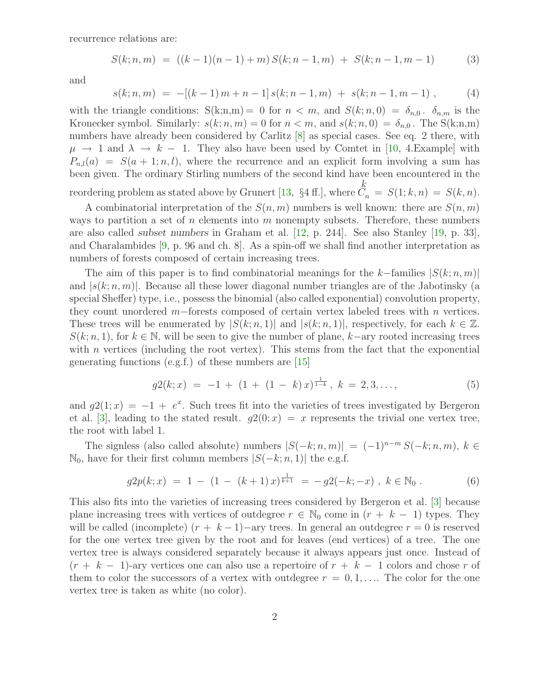recurrence relations are:

<span id="page-1-2"></span>
$$
S(k; n, m) = ((k - 1)(n - 1) + m) S(k; n - 1, m) + S(k; n - 1, m - 1)
$$
 (3)

<span id="page-1-0"></span>and

$$
s(k; n, m) = -[(k-1) m + n - 1] s(k; n-1, m) + s(k; n-1, m-1) , \qquad (4)
$$

with the triangle conditions:  $S(k;n,m) = 0$  for  $n < m$ , and  $S(k;n,0) = \delta_{n,0}$ .  $\delta_{n,m}$  is the Kronecker symbol. Similarly:  $s(k; n, m) = 0$  for  $n < m$ , and  $s(k; n, 0) = \delta_{n,0}$ . The S(k;n,m) numbers have already been considered by Carlitz [\[8\]](#page-24-1) as special cases. See eq. 2 there, with  $\mu \rightarrow 1$  and  $\lambda \rightarrow k-1$ . They also have been used by Comtet in [\[10,](#page-24-2) 4.Example] with  $P_{n,l}(a) = S(a+1; n, l)$ , where the recurrence and an explicit form involving a sum has been given. The ordinary Stirling numbers of the second kind have been encountered in the reordering problem as stated above by Grunert [\[13,](#page-24-3)  $\S 4$  ff.], where  $C$  $\frac{k}{2}$ 

 $S_n = S(1; k, n) = S(k, n).$ A combinatorial interpretation of the  $S(n, m)$  numbers is well known: there are  $S(n, m)$ ways to partition a set of n elements into m nonempty subsets. Therefore, these numbers are also called subset numbers in Graham et al. [\[12,](#page-24-4) p. 244]. See also Stanley [\[19,](#page-25-0) p. 33], and Charalambides [\[9,](#page-24-5) p. 96 and ch. 8]. As a spin-off we shall find another interpretation as

numbers of forests composed of certain increasing trees.

The aim of this paper is to find combinatorial meanings for the k–families  $|S(k; n, m)|$ and  $|s(k; n, m)|$ . Because all these lower diagonal number triangles are of the Jabotinsky (a special Sheffer) type, i.e., possess the binomial (also called exponential) convolution property, they count unordered m−forests composed of certain vertex labeled trees with n vertices. These trees will be enumerated by  $|S(k; n, 1)|$  and  $|s(k; n, 1)|$ , respectively, for each  $k \in \mathbb{Z}$ .  $S(k; n, 1)$ , for  $k \in \mathbb{N}$ , will be seen to give the number of plane, k–ary rooted increasing trees with  $n$  vertices (including the root vertex). This stems from the fact that the exponential generating functions (e.g.f.) of these numbers are [\[15\]](#page-24-0)

<span id="page-1-3"></span><span id="page-1-1"></span>
$$
g2(k;x) = -1 + (1 + (1 - k)x)^{\frac{1}{1-k}}, \ k = 2,3,\ldots,\tag{5}
$$

and  $g(1; x) = -1 + e^x$ . Such trees fit into the varieties of trees investigated by Bergeron et al. [\[3\]](#page-24-6), leading to the stated result.  $q(0; x) = x$  represents the trivial one vertex tree, the root with label 1.

The signless (also called absolute) numbers  $|S(-k; n, m)| = (-1)^{n-m} S(-k; n, m)$ ,  $k \in$  $\mathbb{N}_0$ , have for their first column members  $|S(-k; n, 1)|$  the e.g.f.

$$
g2p(k;x) = 1 - (1 - (k+1)x)^{\frac{1}{k+1}} = -g2(-k; -x), \ k \in \mathbb{N}_0.
$$
 (6)

This also fits into the varieties of increasing trees considered by Bergeron et al. [\[3\]](#page-24-6) because plane increasing trees with vertices of outdegree  $r \in \mathbb{N}_0$  come in  $(r + k - 1)$  types. They will be called (incomplete)  $(r + k - 1)$  –ary trees. In general an outdegree  $r = 0$  is reserved for the one vertex tree given by the root and for leaves (end vertices) of a tree. The one vertex tree is always considered separately because it always appears just once. Instead of  $(r + k - 1)$ -ary vertices one can also use a repertoire of  $r + k - 1$  colors and chose r of them to color the successors of a vertex with outdegree  $r = 0, 1, \ldots$ . The color for the one vertex tree is taken as white (no color).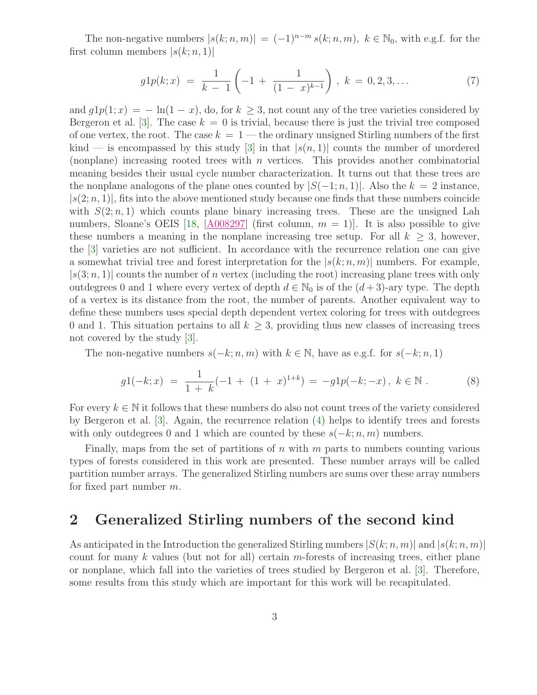The non-negative numbers  $|s(k; n, m)| = (-1)^{n-m} s(k; n, m)$ ,  $k \in \mathbb{N}_0$ , with e.g.f. for the first column members  $|s(k; n, 1)|$ 

<span id="page-2-0"></span>
$$
g1p(k;x) = \frac{1}{k-1} \left( -1 + \frac{1}{(1-x)^{k-1}} \right), \ k = 0, 2, 3, \dots \tag{7}
$$

and  $g1p(1; x) = -\ln(1-x)$ , do, for  $k \geq 3$ , not count any of the tree varieties considered by Bergeron et al. [\[3\]](#page-24-6). The case  $k = 0$  is trivial, because there is just the trivial tree composed of one vertex, the root. The case  $k = 1$  — the ordinary unsigned Stirling numbers of the first kind — is encompassed by this study [\[3\]](#page-24-6) in that  $|s(n, 1)|$  counts the number of unordered (nonplane) increasing rooted trees with  $n$  vertices. This provides another combinatorial meaning besides their usual cycle number characterization. It turns out that these trees are the nonplane analogons of the plane ones counted by  $|S(-1; n, 1)|$ . Also the  $k = 2$  instance,  $|s(2; n, 1)|$ , fits into the above mentioned study because one finds that these numbers coincide with  $S(2; n, 1)$  which counts plane binary increasing trees. These are the unsigned Lah numbers, Sloane's OEIS [\[18,](#page-25-1)  $|A008297|$  $|A008297|$  $|A008297|$  (first column,  $m = 1$ )]. It is also possible to give these numbers a meaning in the nonplane increasing tree setup. For all  $k \geq 3$ , however, the [\[3\]](#page-24-6) varieties are not sufficient. In accordance with the recurrence relation one can give a somewhat trivial tree and forest interpretation for the  $|s(k; n, m)|$  numbers. For example,  $|s(3; n, 1)|$  counts the number of n vertex (including the root) increasing plane trees with only outdegrees 0 and 1 where every vertex of depth  $d \in \mathbb{N}_0$  is of the  $(d+3)$ -ary type. The depth of a vertex is its distance from the root, the number of parents. Another equivalent way to define these numbers uses special depth dependent vertex coloring for trees with outdegrees 0 and 1. This situation pertains to all  $k \geq 3$ , providing thus new classes of increasing trees not covered by the study [\[3\]](#page-24-6).

The non-negative numbers  $s(-k; n, m)$  with  $k \in \mathbb{N}$ , have as e.g.f. for  $s(-k; n, 1)$ 

<span id="page-2-1"></span>
$$
g1(-k;x) = \frac{1}{1+k}(-1+(1+x)^{1+k}) = -g1p(-k;-x), \ k \in \mathbb{N} .
$$
 (8)

For every  $k \in \mathbb{N}$  it follows that these numbers do also not count trees of the variety considered by Bergeron et al. [\[3\]](#page-24-6). Again, the recurrence relation [\(4\)](#page-1-0) helps to identify trees and forests with only outdegrees 0 and 1 which are counted by these  $s(-k; n, m)$  numbers.

Finally, maps from the set of partitions of  $n$  with  $m$  parts to numbers counting various types of forests considered in this work are presented. These number arrays will be called partition number arrays. The generalized Stirling numbers are sums over these array numbers for fixed part number  $m$ .

# 2 Generalized Stirling numbers of the second kind

As anticipated in the Introduction the generalized Stirling numbers  $|S(k; n, m)|$  and  $|s(k; n, m)|$ count for many  $k$  values (but not for all) certain m-forests of increasing trees, either plane or nonplane, which fall into the varieties of trees studied by Bergeron et al. [\[3\]](#page-24-6). Therefore, some results from this study which are important for this work will be recapitulated.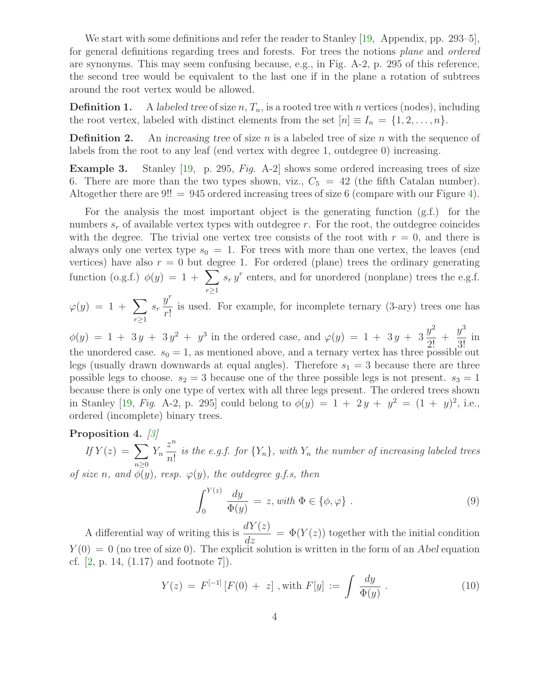We start with some definitions and refer the reader to Stanley [\[19,](#page-25-0) Appendix, pp. 293–5], for general definitions regarding trees and forests. For trees the notions plane and ordered are synonyms. This may seem confusing because, e.g., in Fig. A-2, p. 295 of this reference, the second tree would be equivalent to the last one if in the plane a rotation of subtrees around the root vertex would be allowed.

**Definition 1.** A labeled tree of size  $n, T_n$ , is a rooted tree with n vertices (nodes), including the root vertex, labeled with distinct elements from the set  $[n] \equiv I_n = \{1, 2, \ldots, n\}.$ 

**Definition 2.** An increasing tree of size n is a labeled tree of size n with the sequence of labels from the root to any leaf (end vertex with degree 1, outdegree 0) increasing.

Example 3. Stanley [\[19,](#page-25-0) p. 295, Fig. A-2] shows some ordered increasing trees of size 6. There are more than the two types shown, viz.,  $C_5 = 42$  (the fifth Catalan number). Altogether there are  $9!! = 945$  ordered increasing trees of size 6 (compare with our Figure [4\)](#page-21-0).

For the analysis the most important object is the generating function (g.f.) for the numbers  $s_r$  of available vertex types with outdegree r. For the root, the outdegree coincides with the degree. The trivial one vertex tree consists of the root with  $r = 0$ , and there is always only one vertex type  $s_0 = 1$ . For trees with more than one vertex, the leaves (end vertices) have also  $r = 0$  but degree 1. For ordered (plane) trees the ordinary generating function (o.g.f.)  $\phi(y) = 1 + \sum$  $r \geq 1$  $s_r y^r$  enters, and for unordered (nonplane) trees the e.g.f.

 $\varphi(y) = 1 + \sum$  $r \geq 1$  $s_r$  $y^r$ r! is used. For example, for incomplete ternary (3-ary) trees one has

 $\phi(y) = 1 + 3y + 3y^2 + y^3$  in the ordered case, and  $\varphi(y) = 1 + 3y + 3$  $y^2$  $\frac{9}{2!}$  +  $y^3$  $rac{9}{3!}$  in the unordered case.  $s_0 = 1$ , as mentioned above, and a ternary vertex has three possible out legs (usually drawn downwards at equal angles). Therefore  $s_1 = 3$  because there are three possible legs to choose.  $s_2 = 3$  because one of the three possible legs is not present.  $s_3 = 1$ because there is only one type of vertex with all three legs present. The ordered trees shown in Stanley [\[19,](#page-25-0) Fig. A-2, p. 295] could belong to  $\phi(y) = 1 + 2y + y^2 = (1 + y)^2$ , i.e., ordered (incomplete) binary trees.

# <span id="page-3-0"></span>Proposition 4. [\[3\]](#page-24-6)

If  $Y(z) = \sum$  $n \geq 0$  $Y_n$  $z^n$  $\frac{\tilde{m}}{n!}$  is the e.g.f. for  $\{Y_n\}$ , with  $Y_n$  the number of increasing labeled trees

of size n, and  $\bar{\phi}(y)$ , resp.  $\varphi(y)$ , the outdegree g.f.s, then

$$
\int_0^{Y(z)} \frac{dy}{\Phi(y)} = z, with \Phi \in \{\phi, \varphi\} .
$$
 (9)

A differential way of writing this is  $\frac{dY(z)}{dt}$  $\frac{d}{dz} = \Phi(Y(z))$  together with the initial condition  $Y(0) = 0$  (no tree of size 0). The explicit solution is written in the form of an Abel equation cf.  $[2, p. 14, (1.17)$  and footnote  $7]$ ).

<span id="page-3-1"></span>
$$
Y(z) = F^{[-1]}[F(0) + z], \text{ with } F[y] := \int \frac{dy}{\Phi(y)}.
$$
 (10)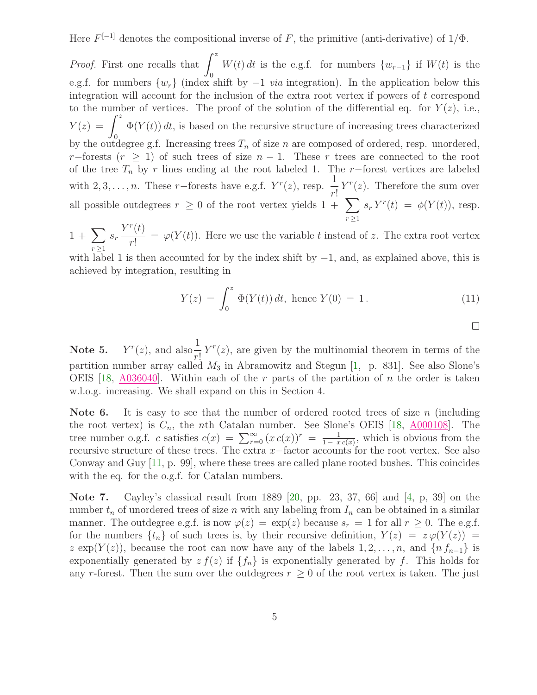Here  $F^{[-1]}$  denotes the compositional inverse of F, the primitive (anti-derivative) of  $1/\Phi$ .

*Proof.* First one recalls that  $\int_0^z$  $\theta$  $W(t) dt$  is the e.g.f. for numbers  $\{w_{r-1}\}\$ if  $W(t)$  is the e.g.f. for numbers  $\{w_r\}$  (index shift by  $-1$  *via* integration). In the application below this integration will account for the inclusion of the extra root vertex if powers of t correspond to the number of vertices. The proof of the solution of the differential eq. for  $Y(z)$ , i.e.,  $Y(z) = \int^{z} \Phi(Y(t)) dt$ , is based on the recursive structure of increasing trees characterized by the outdegree g.f. Increasing trees  $T_n$  of size n are composed of ordered, resp. unordered, r−forests  $(r \geq 1)$  of such trees of size  $n-1$ . These r trees are connected to the root of the tree  $T_n$  by r lines ending at the root labeled 1. The r−forest vertices are labeled with 2, 3, . . . , n. These r−forests have e.g.f.  $Y^r(z)$ , resp.  $\frac{1}{z}$ r!  $Y^{r}(z)$ . Therefore the sum over all possible outdegrees  $r \geq 0$  of the root vertex yields  $1 + \sum$  $r \geq 1$  $s_r Y^r(t) = \phi(Y(t))$ , resp.

 $1 + \sum$  $r \geq 1$  $s_r$  $Y^r(t)$ r!  $=\varphi(Y(t))$ . Here we use the variable t instead of z. The extra root vertex

with label 1 is then accounted for by the index shift by  $-1$ , and, as explained above, this is achieved by integration, resulting in

$$
Y(z) = \int_0^z \Phi(Y(t)) dt, \text{ hence } Y(0) = 1.
$$
 (11)

 $\Box$ 

Note 5.  $r(z)$ , and also $\frac{1}{z}$ r!  $Y^{r}(z)$ , are given by the multinomial theorem in terms of the partition number array called  $M_3$  in Abramowitz and Stegun [\[1,](#page-24-8) p. 831]. See also Slone's OEIS [\[18,](#page-25-1)  $A036040$ ]. Within each of the r parts of the partition of n the order is taken w.l.o.g. increasing. We shall expand on this in Section 4.

Note 6. It is easy to see that the number of ordered rooted trees of size n (including the root vertex) is  $C_n$ , the *n*th Catalan number. See Slone's OEIS [\[18,](#page-25-1)  $\triangle 000108$ ]. The tree number o.g.f. c satisfies  $c(x) = \sum_{r=0}^{\infty} (x c(x))^r = \frac{1}{1-x}$  $\frac{1}{1-xc(x)}$ , which is obvious from the recursive structure of these trees. The extra  $x$ −factor accounts for the root vertex. See also Conway and Guy [\[11,](#page-24-9) p. 99], where these trees are called plane rooted bushes. This coincides with the eq. for the o.g.f. for Catalan numbers.

Note 7. Cayley's classical result from 1889 [\[20,](#page-25-2) pp. 23, 37, 66] and [\[4,](#page-24-10) p, 39] on the number  $t_n$  of unordered trees of size n with any labeling from  $I_n$  can be obtained in a similar manner. The outdegree e.g.f. is now  $\varphi(z) = \exp(z)$  because  $s_r = 1$  for all  $r \geq 0$ . The e.g.f. for the numbers  $\{t_n\}$  of such trees is, by their recursive definition,  $Y(z) = z \varphi(Y(z)) = z$ z exp(Y(z)), because the root can now have any of the labels  $1, 2, \ldots, n$ , and  $\{n f_{n-1}\}\$ is exponentially generated by  $zf(z)$  if  ${f_n}$  is exponentially generated by f. This holds for any r-forest. Then the sum over the outdegrees  $r \geq 0$  of the root vertex is taken. The just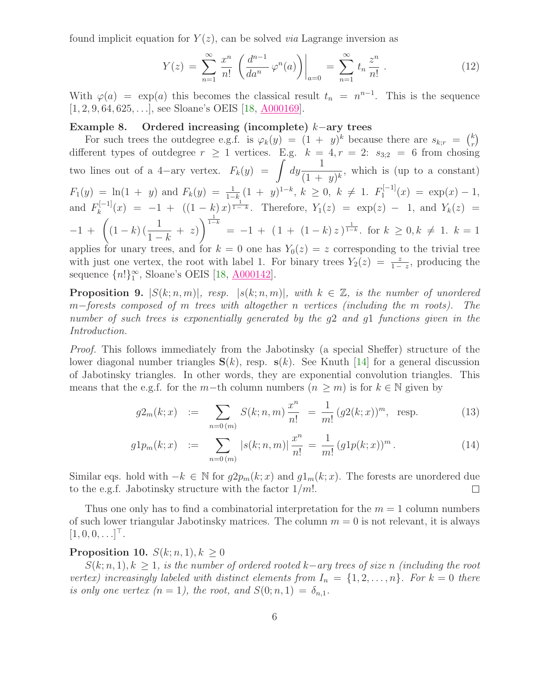found implicit equation for  $Y(z)$ , can be solved *via* Lagrange inversion as

$$
Y(z) = \sum_{n=1}^{\infty} \frac{x^n}{n!} \left( \frac{d^{n-1}}{da^n} \varphi^n(a) \right) \Big|_{a=0} = \sum_{n=1}^{\infty} t_n \frac{z^n}{n!} \,. \tag{12}
$$

With  $\varphi(a) = \exp(a)$  this becomes the classical result  $t_n = n^{n-1}$ . This is the sequence [1, 2, 9, 64, 625, . . .], see Sloane's OEIS [\[18,](#page-25-1) [A000169\]](http://oeis.org/A000169).

## <span id="page-5-0"></span>Example 8. Ordered increasing (incomplete) k−ary trees

For such trees the outdegree e.g.f. is  $\varphi_k(y) = (1 + y)^k$  because there are  $s_{k,r} = {k \choose r}$ different types of outdegree  $r \ge 1$  vertices. E.g.  $k = 4, r = 2$ :  $s_{3;2} = 6$  from chosing two lines out of a 4-ary vertex.  $F_k(y) = \int dy \frac{1}{(1+y)^2}$  $\frac{1}{(1 + y)^k}$ , which is (up to a constant)  $F_1(y) = \ln(1 + y)$  and  $F_k(y) = \frac{1}{1-k}(1 + y)^{1-k}, k \ge 0, k \ne 1$ .  $F_1^{[-1]}$  $y_1^{(-1)}(x) = \exp(x) - 1,$ and  $F_k^{[-1]}$  $\zeta_k^{[-1]}(x) = -1 + ((1-k)x)^{\frac{1}{1-k}}$ . Therefore,  $Y_1(z) = \exp(z) - 1$ , and  $Y_k(z) =$  $-1 + \left( (1-k) \left( \frac{1}{1} \right)$  $1-k$  $+ z)$  $\frac{1}{1-k}$  $= -1 + (1 + (1 - k)z)^{\frac{1}{1-k}}$ . for  $k \geq 0, k \neq 1$ .  $k = 1$ applies for unary trees, and for  $k = 0$  one has  $Y_0(z) = z$  corresponding to the trivial tree with just one vertex, the root with label 1. For binary trees  $Y_2(z) = \frac{z}{1-z}$ , producing the

<span id="page-5-2"></span>sequence  ${n!}\simeq$ , Sloane's OEIS [\[18,](#page-25-1)  $\underline{A000142}$ ]. **Proposition 9.**  $|S(k; n, m)|$ , resp.  $|s(k; n, m)|$ , with  $k \in \mathbb{Z}$ , is the number of unordered m−forests composed of m trees with altogether n vertices (including the m roots). The number of such trees is exponentially generated by the  $g2$  and  $g1$  functions given in the

Proof. This follows immediately from the Jabotinsky (a special Sheffer) structure of the lower diagonal number triangles  $S(k)$ , resp.  $s(k)$ . See Knuth [\[14\]](#page-24-11) for a general discussion of Jabotinsky triangles. In other words, they are exponential convolution triangles. This means that the e.g.f. for the m−th column numbers  $(n \geq m)$  is for  $k \in \mathbb{N}$  given by

$$
g2_m(k;x) := \sum_{n=0(m)} S(k;n,m) \frac{x^n}{n!} = \frac{1}{m!} (g2(k;x))^m, \text{ resp. } (13)
$$

$$
g1p_m(k;x) := \sum_{n=0(m)} |s(k;n,m)| \frac{x^n}{n!} = \frac{1}{m!} (g1p(k;x))^m.
$$
 (14)

Similar eqs. hold with  $-k \in \mathbb{N}$  for  $g2p_m(k; x)$  and  $g1_m(k; x)$ . The forests are unordered due to the e.g.f. Jabotinsky structure with the factor  $1/m!$ .  $\Box$ 

Thus one only has to find a combinatorial interpretation for the  $m = 1$  column numbers of such lower triangular Jabotinsky matrices. The column  $m = 0$  is not relevant, it is always  $[1, 0, 0, \ldots]^\top$ .

# <span id="page-5-1"></span>Proposition 10.  $S(k; n, 1), k \geq 0$

Introduction.

 $S(k; n, 1), k \geq 1$ , is the number of ordered rooted k–ary trees of size n (including the root vertex) increasingly labeled with distinct elements from  $I_n = \{1, 2, ..., n\}$ . For  $k = 0$  there is only one vertex  $(n = 1)$ , the root, and  $S(0; n, 1) = \delta_{n,1}$ .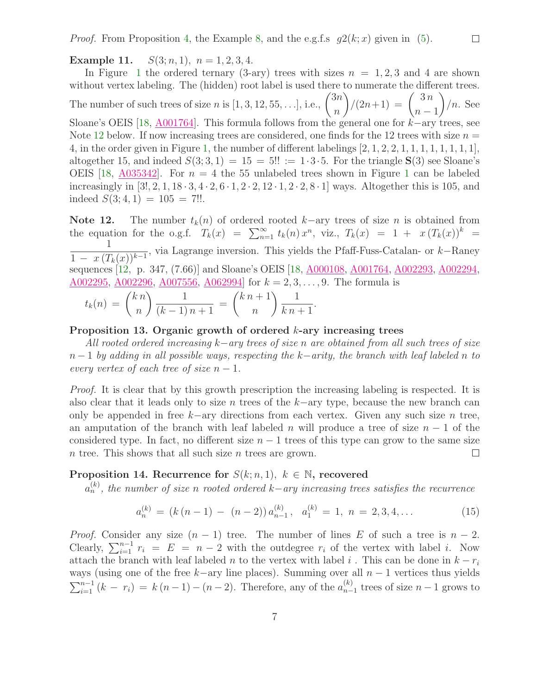*Proof.* From Proposition [4,](#page-3-0) the Example [8,](#page-5-0) and the e.g.f.s  $q2(k; x)$  given in [\(5\)](#page-1-1).

Example 11.  $S(3; n, 1), n = 1, 2, 3, 4.$ 

In Figure [1](#page-18-0) the ordered ternary (3-ary) trees with sizes  $n = 1, 2, 3$  and 4 are shown without vertex labeling. The (hidden) root label is used there to numerate the different trees. The number of such trees of size *n* is  $[1, 3, 12, 55, \ldots]$ , i.e.,  $\binom{3n}{n}$ n  $\binom{3n}{1}$  $n-1$  $\overline{ }$  $/n.$  See Sloane's OEIS [\[18,](#page-25-1) [A001764\]](http://oeis.org/A001764). This formula follows from the general one for k−ary trees, see Note [12](#page-6-0) below. If now increasing trees are considered, one finds for the 12 trees with size  $n =$ 4, in the order given in Figure [1,](#page-18-0) the number of different labelings  $[2, 1, 2, 2, 1, 1, 1, 1, 1, 1, 1, 1]$ , altogether 15, and indeed  $S(3; 3, 1) = 15 = 5!! := 1 \cdot 3 \cdot 5$ . For the triangle  $S(3)$  see Sloane's OEIS [\[18,](#page-25-1)  $A035342$ ]. For  $n = 4$  the 55 unlabeled trees shown in Figure [1](#page-18-0) can be labeled increasingly in  $[3!, 2, 1, 18 \cdot 3, 4 \cdot 2, 6 \cdot 1, 2 \cdot 2, 12 \cdot 1, 2 \cdot 2, 8 \cdot 1]$  ways. Altogether this is 105, and indeed  $S(3; 4, 1) = 105 = 7!!$ .

<span id="page-6-0"></span>Note 12. The number  $t_k(n)$  of ordered rooted k–ary trees of size n is obtained from the equation for the o.g.f.  $T_k(x) = \sum_{n=1}^{\infty} t_k(n) x^n$ , viz.,  $T_k(x) = 1 + x (T_k(x))^k$ 1  $\frac{1}{1 - x (T_k(x))^{k-1}}$ , via Lagrange inversion. This yields the Pfaff-Fuss-Catalan- or k–Raney sequences [\[12,](#page-24-4) p. 347, (7.66)] and Sloane's OEIS [\[18,](#page-25-1) <u>[A000108,](http://oeis.org/A000108) [A001764,](http://oeis.org/A001764) [A002293,](http://oeis.org/A002293) A002294</u>,  $A002295, A002296, A007556, A062994$  $A002295, A002296, A007556, A062994$  $A002295, A002296, A007556, A062994$  $A002295, A002296, A007556, A062994$  $A002295, A002296, A007556, A062994$  $A002295, A002296, A007556, A062994$  for  $k = 2, 3, ..., 9$ . The formula is

$$
t_k(n) = {kn \choose n} \frac{1}{(k-1) n+1} = {kn+1 \choose n} \frac{1}{k n+1}.
$$

#### Proposition 13. Organic growth of ordered  $k$ -ary increasing trees

All rooted ordered increasing k−ary trees of size n are obtained from all such trees of size  $n-1$  by adding in all possible ways, respecting the k–arity, the branch with leaf labeled n to every vertex of each tree of size  $n-1$ .

Proof. It is clear that by this growth prescription the increasing labeling is respected. It is also clear that it leads only to size n trees of the  $k-$ ary type, because the new branch can only be appended in free  $k$ −ary directions from each vertex. Given any such size n tree, an amputation of the branch with leaf labeled n will produce a tree of size  $n - 1$  of the considered type. In fact, no different size  $n-1$  trees of this type can grow to the same size  $n$  tree. This shows that all such size  $n$  trees are grown.  $\Box$ 

# <span id="page-6-1"></span>Proposition 14. Recurrence for  $S(k; n, 1)$ ,  $k \in \mathbb{N}$ , recovered

 $a_n^{(k)}$ , the number of size n rooted ordered k−ary increasing trees satisfies the recurrence

<span id="page-6-2"></span>
$$
a_n^{(k)} = (k(n-1) - (n-2)) a_{n-1}^{(k)}, a_1^{(k)} = 1, n = 2, 3, 4, ... \tag{15}
$$

*Proof.* Consider any size  $(n - 1)$  tree. The number of lines E of such a tree is  $n - 2$ . Clearly,  $\sum_{i=1}^{n-1} r_i = E = n-2$  with the outdegree  $r_i$  of the vertex with label i. Now attach the branch with leaf labeled n to the vertex with label i. This can be done in  $k - r_i$ ways (using one of the free k–ary line places). Summing over all  $n-1$  vertices thus yields  $\sum_{i=1}^{n-1} (k - r_i) = k(n-1) - (n-2)$ . Therefore, any of the  $a_{n-1}^{(k)}$  $_{n-1}^{(\kappa)}$  trees of size  $n-1$  grows to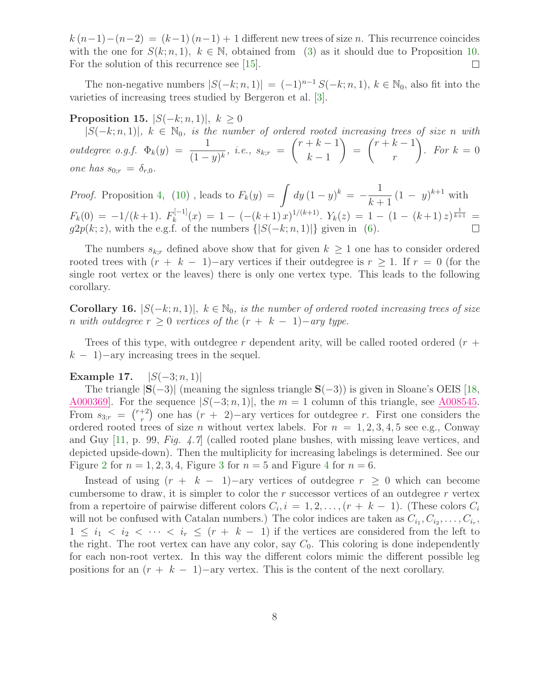$k(n-1)-(n-2) = (k-1)(n-1)+1$  different new trees of size n. This recurrence coincides with the one for  $S(k; n, 1)$ ,  $k \in \mathbb{N}$ , obtained from [\(3\)](#page-1-2) as it should due to Proposition [10.](#page-5-1) For the solution of this recurrence see [\[15\]](#page-24-0).  $\Box$ 

<span id="page-7-2"></span>The non-negative numbers  $|S(-k; n, 1)| = (-1)^{n-1} S(-k; n, 1), k \in \mathbb{N}_0$ , also fit into the varieties of increasing trees studied by Bergeron et al. [\[3\]](#page-24-6).

**Proposition 15.**  $|S(-k; n, 1)|, k > 0$ 

 $|S(-k; n, 1)|$ ,  $k \in \mathbb{N}_0$ , is the number of ordered rooted increasing trees of size n with  $outdegree \ o.g.f. \ \Phi_k(y) \ = \ \frac{1}{(1-y)^k}, \ i.e., \ s_{k;r} \ =$  $(r + k - 1)$  $k-1$  $\setminus$ =  $(r + k - 1)$ r Ň . For  $k = 0$ one has  $s_{0;r} = \delta_{r,0}.$ 

*Proof.* Proposition [4,](#page-3-0) [\(10\)](#page-3-1), leads to  $F_k(y) = \int dy (1-y)^k = -\frac{1}{k+1}$  $(1 - y)^{k+1}$  with  $k+1$  $\kappa_k^{[-1]}(x) = 1 - (-(k+1)x)^{1/(k+1)}$ .  $Y_k(z) = 1 - (1 - (k+1)z)^{\frac{1}{k+1}} =$  $F_k(0) = -1/(k+1)$ .  $F_k^{[-1]}$  $g2p(k; z)$ , with the e.g.f. of the numbers  $\{|S(-k; n, 1)|\}$  given in [\(6\)](#page-1-3).  $\Box$ 

The numbers  $s_{k,r}$  defined above show that for given  $k \geq 1$  one has to consider ordered rooted trees with  $(r + k - 1)$  –ary vertices if their outdegree is  $r \geq 1$ . If  $r = 0$  (for the single root vertex or the leaves) there is only one vertex type. This leads to the following corollary.

<span id="page-7-0"></span>Corollary 16.  $|S(-k; n, 1)|$ ,  $k \in \mathbb{N}_0$ , is the number of ordered rooted increasing trees of size n with outdegree  $r \geq 0$  vertices of the  $(r + k - 1)$ -ary type.

Trees of this type, with outdegree r dependent arity, will be called rooted ordered  $(r +$  $k - 1$ ) – ary increasing trees in the sequel.

# Example 17.  $|S(-3; n, 1)|$

The triangle  $|S(-3)|$  (meaning the signless triangle  $S(-3)$ ) is given in Sloane's OEIS [\[18,](#page-25-1) <u>A000369</u>. For the sequence  $|S(-3; n, 1)|$ , the  $m = 1$  column of this triangle, see [A008545.](http://oeis.org/A008545) From  $s_{3;r} = {r+2 \choose r}$ <sup>+2</sup>) one has  $(r + 2)$  –ary vertices for outdegree r. First one considers the ordered rooted trees of size *n* without vertex labels. For  $n = 1, 2, 3, 4, 5$  see e.g., Conway and Guy  $[11, p. 99, Fig. 4.7]$  (called rooted plane bushes, with missing leave vertices, and depicted upside-down). Then the multiplicity for increasing labelings is determined. See our Figure [2](#page-19-0) for  $n = 1, 2, 3, 4$  $n = 1, 2, 3, 4$  $n = 1, 2, 3, 4$  $n = 1, 2, 3, 4$ , Figure 3 for  $n = 5$  and Figure 4 for  $n = 6$ .

<span id="page-7-1"></span>Instead of using  $(r + k - 1)$  –ary vertices of outdegree  $r \geq 0$  which can become cumbersome to draw, it is simpler to color the  $r$  successor vertices of an outdegree  $r$  vertex from a repertoire of pairwise different colors  $C_i$ ,  $i = 1, 2, \ldots, (r + k - 1)$ . (These colors  $C_i$ will not be confused with Catalan numbers.) The color indices are taken as  $C_{i_1}, C_{i_2}, \ldots, C_{i_r}$ ,  $1 \leq i_1 \leq i_2 \leq \cdots \leq i_r \leq (r + k - 1)$  if the vertices are considered from the left to the right. The root vertex can have any color, say  $C_0$ . This coloring is done independently for each non-root vertex. In this way the different colors mimic the different possible leg positions for an  $(r + k - 1)$  –ary vertex. This is the content of the next corollary.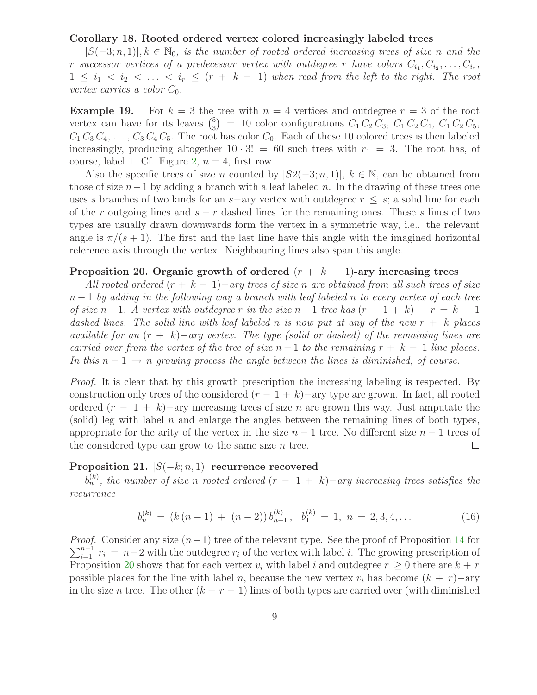## Corollary 18. Rooted ordered vertex colored increasingly labeled trees

 $|S(-3; n, 1)|, k \in \mathbb{N}_0$ , is the number of rooted ordered increasing trees of size n and the r successor vertices of a predecessor vertex with outdegree r have colors  $C_{i_1}, C_{i_2}, \ldots, C_{i_r}$ ,  $1 \leq i_1 < i_2 < \ldots < i_r \leq (r + k - 1)$  when read from the left to the right. The root vertex carries a color  $C_0$ .

**Example 19.** For  $k = 3$  the tree with  $n = 4$  vertices and outdegree  $r = 3$  of the root vertex can have for its leaves  $\binom{5}{3}$  $S_3$  = 10 color configurations  $C_1 C_2 C_3$ ,  $C_1 C_2 C_4$ ,  $C_1 C_2 C_5$ ,  $C_1 C_3 C_4, \ldots, C_3 C_4 C_5$ . The root has color  $C_0$ . Each of these 10 colored trees is then labeled increasingly, producing altogether  $10 \cdot 3! = 60$  such trees with  $r_1 = 3$ . The root has, of course, label 1. Cf. Figure [2,](#page-19-0)  $n = 4$ , first row.

Also the specific trees of size n counted by  $|S_2(-3; n, 1)|$ ,  $k \in \mathbb{N}$ , can be obtained from those of size  $n-1$  by adding a branch with a leaf labeled n. In the drawing of these trees one uses s branches of two kinds for an s−ary vertex with outdegree  $r \leq s$ ; a solid line for each of the r outgoing lines and  $s - r$  dashed lines for the remaining ones. These s lines of two types are usually drawn downwards form the vertex in a symmetric way, i.e.. the relevant angle is  $\pi/(s+1)$ . The first and the last line have this angle with the imagined horizontal reference axis through the vertex. Neighbouring lines also span this angle.

# <span id="page-8-0"></span>Proposition 20. Organic growth of ordered  $(r + k - 1)$ -ary increasing trees

All rooted ordered  $(r + k - 1)$  – ary trees of size n are obtained from all such trees of size  $n-1$  by adding in the following way a branch with leaf labeled n to every vertex of each tree of size n − 1. A vertex with outdegree r in the size n − 1 tree has  $(r - 1 + k) - r = k - 1$ dashed lines. The solid line with leaf labeled n is now put at any of the new  $r + k$  places available for an  $(r + k)$ −ary vertex. The type (solid or dashed) of the remaining lines are carried over from the vertex of the tree of size  $n-1$  to the remaining  $r + k - 1$  line places. In this  $n-1 \rightarrow n$  growing process the angle between the lines is diminished, of course.

Proof. It is clear that by this growth prescription the increasing labeling is respected. By construction only trees of the considered  $(r - 1 + k)$  –ary type are grown. In fact, all rooted ordered  $(r - 1 + k)$ −ary increasing trees of size *n* are grown this way. Just amputate the (solid) leg with label n and enlarge the angles between the remaining lines of both types, appropriate for the arity of the vertex in the size  $n-1$  tree. No different size  $n-1$  trees of the considered type can grow to the same size  $n$  tree.  $\Box$ 

## Proposition 21.  $|S(-k; n, 1)|$  recurrence recovered

<span id="page-8-1"></span> $b_n^{(k)}$ , the number of size n rooted ordered  $(r - 1 + k)$  – ary increasing trees satisfies the recurrence

$$
b_n^{(k)} = (k (n - 1) + (n - 2)) b_{n-1}^{(k)}, \ b_1^{(k)} = 1, \ n = 2, 3, 4, \dots
$$
 (16)

*Proof.* Consider any size  $(n-1)$  tree of the relevant type. See the proof of Proposition [14](#page-6-1) for  $\sum_{i=1}^{n-1} r_i = n-2$  with the outdegree  $r_i$  of the vertex with label i. The growing prescription of Proposition [20](#page-8-0) shows that for each vertex  $v_i$  with label i and outdegree  $r \geq 0$  there are  $k + r$ possible places for the line with label n, because the new vertex  $v_i$  has become  $(k + r)$ −ary in the size n tree. The other  $(k + r - 1)$  lines of both types are carried over (with diminished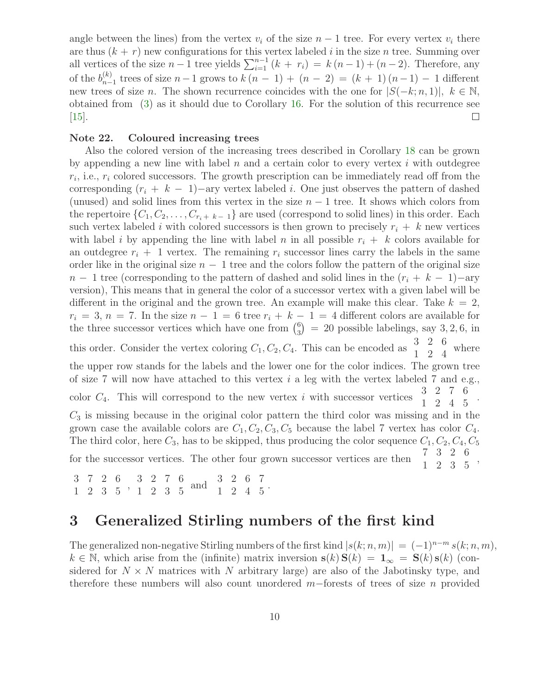angle between the lines) from the vertex  $v_i$  of the size  $n-1$  tree. For every vertex  $v_i$  there are thus  $(k + r)$  new configurations for this vertex labeled i in the size n tree. Summing over all vertices of the size  $n-1$  tree yields  $\sum_{i=1}^{n-1} (k + r_i) = k (n-1) + (n-2)$ . Therefore, any of the  $b_{n-}^{(k)}$  $n_{n-1}^{(k)}$  trees of size  $n-1$  grows to  $k(n-1) + (n-2) = (k+1)(n-1) - 1$  different new trees of size n. The shown recurrence coincides with the one for  $|S(-k; n, 1)|, k \in \mathbb{N}$ , obtained from [\(3\)](#page-1-2) as it should due to Corollary [16.](#page-7-0) For the solution of this recurrence see [\[15\]](#page-24-0).  $\Box$ 

#### Note 22. Coloured increasing trees

Also the colored version of the increasing trees described in Corollary [18](#page-7-1) can be grown by appending a new line with label  $n$  and a certain color to every vertex  $i$  with outdegree  $r_i$ , i.e.,  $r_i$  colored successors. The growth prescription can be immediately read off from the corresponding  $(r_i + k - 1)$  –ary vertex labeled i. One just observes the pattern of dashed (unused) and solid lines from this vertex in the size  $n-1$  tree. It shows which colors from the repertoire  $\{C_1, C_2, \ldots, C_{r_i + k - 1}\}$  are used (correspond to solid lines) in this order. Each such vertex labeled i with colored successors is then grown to precisely  $r_i + k$  new vertices with label i by appending the line with label n in all possible  $r_i + k$  colors available for an outdegree  $r_i + 1$  vertex. The remaining  $r_i$  successor lines carry the labels in the same order like in the original size  $n - 1$  tree and the colors follow the pattern of the original size  $n-1$  tree (corresponding to the pattern of dashed and solid lines in the  $(r_i + k - 1)$ -ary version), This means that in general the color of a successor vertex with a given label will be different in the original and the grown tree. An example will make this clear. Take  $k = 2$ ,  $r_i = 3$ ,  $n = 7$ . In the size  $n - 1 = 6$  tree  $r_i + k - 1 = 4$  different colors are available for the three successor vertices which have one from  $\binom{6}{3}$  $_3^6$  = 20 possible labelings, say 3, 2, 6, in this order. Consider the vertex coloring  $C_1, C_2, C_4$ . This can be encoded as  $\begin{array}{cc} 3 & 2 & 6 \\ 1 & 2 & 4 \end{array}$  where the upper row stands for the labels and the lower one for the color indices. The grown tree of size 7 will now have attached to this vertex  $i$  a leg with the vertex labeled 7 and e.g., color  $C_4$ . This will correspond to the new vertex i with successor vertices  $\begin{array}{cc} 3 & 2 & 7 & 6 \\ 1 & 2 & 4 & 5 \end{array}$  $1 \t2 \t4 \t5$  $C_3$  is missing because in the original color pattern the third color was missing and in the grown case the available colors are  $C_1, C_2, C_3, C_5$  because the label 7 vertex has color  $C_4$ . The third color, here  $C_3$ , has to be skipped, thus producing the color sequence  $C_1$ ,  $C_2$ ,  $C_4$ ,  $C_5$ <br>for the suggessor vertices. The other form means accessory and is seen to  $7\quad 3 \quad 2 \quad 6$ for the successor vertices. The other four grown successor vertices are then  $1 \t2 \t3 \t5$ 

 $\begin{array}{ccccccccc}\n3 & 7 & 2 & 6 & 3 & 2 & 7 & 6 \\
1 & 2 & 3 & 5 & 1 & 2 & 3 & 5\n\end{array}$  and  $\begin{array}{ccccccccc}\n3 & 2 & 6 & 7 \\
1 & 2 & 4 & 5\n\end{array}$ 

# 3 Generalized Stirling numbers of the first kind

The generalized non-negative Stirling numbers of the first kind  $|s(k; n, m)| = (-1)^{n-m} s(k; n, m)$ ,  $k \in \mathbb{N}$ , which arise from the (infinite) matrix inversion  $s(k) S(k) = 1_\infty = S(k) s(k)$  (considered for  $N \times N$  matrices with N arbitrary large) are also of the Jabotinsky type, and therefore these numbers will also count unordered m−forests of trees of size n provided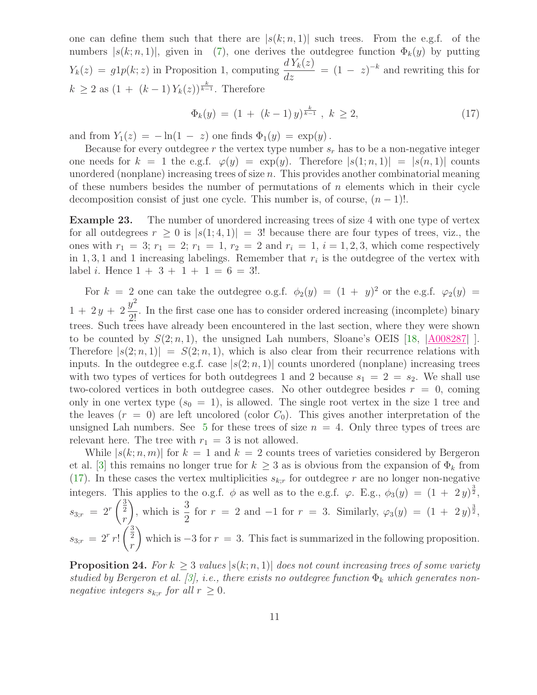one can define them such that there are  $|s(k; n, 1)|$  such trees. From the e.g.f. of the numbers  $|s(k; n, 1)|$ , given in [\(7\)](#page-2-0), one derives the outdegree function  $\Phi_k(y)$  by putting  $Y_k(z) = g1p(k; z)$  in Proposition 1, computing  $\frac{dY_k(z)}{dz} = (1 - z)^{-k}$  and rewriting this for  $k \geq 2$  as  $(1 + (k-1)Y_k(z))^{\frac{k}{k-1}}$ . Therefore

<span id="page-10-0"></span>
$$
\Phi_k(y) = (1 + (k-1)y)^{\frac{k}{k-1}}, \ k \ge 2,
$$
\n(17)

and from  $Y_1(z) = -\ln(1 - z)$  one finds  $\Phi_1(y) = \exp(y)$ .

Because for every outdegree r the vertex type number  $s_r$  has to be a non-negative integer one needs for  $k = 1$  the e.g.f.  $\varphi(y) = \exp(y)$ . Therefore  $|s(1; n, 1)| = |s(n, 1)|$  counts unordered (nonplane) increasing trees of size n. This provides another combinatorial meaning of these numbers besides the number of permutations of  $n$  elements which in their cycle decomposition consist of just one cycle. This number is, of course,  $(n - 1)!$ .

Example 23. The number of unordered increasing trees of size 4 with one type of vertex for all outdegrees  $r \geq 0$  is  $|s(1;4,1)| = 3!$  because there are four types of trees, viz., the ones with  $r_1 = 3$ ;  $r_1 = 2$ ;  $r_1 = 1$ ,  $r_2 = 2$  and  $r_i = 1$ ,  $i = 1, 2, 3$ , which come respectively in 1, 3, 1 and 1 increasing labelings. Remember that  $r_i$  is the outdegree of the vertex with label *i*. Hence  $1 + 3 + 1 + 1 = 6 = 3!$ .

For  $k = 2$  one can take the outdegree o.g.f.  $\phi_2(y) = (1 + y)^2$  or the e.g.f.  $\varphi_2(y) =$  $1 + 2y + 2$  $y^2$  $\frac{9}{2!}$ . In the first case one has to consider ordered increasing (incomplete) binary trees. Such trees have already been encountered in the last section, where they were shown to be counted by  $S(2; n, 1)$ , the unsigned Lah numbers, Sloane's OEIS [\[18,](#page-25-1)  $|\underline{A008287}|$  $|\underline{A008287}|$  $|\underline{A008287}|$  ]. Therefore  $|s(2; n, 1)| = S(2; n, 1)$ , which is also clear from their recurrence relations with inputs. In the outdegree e.g.f. case  $|s(2; n, 1)|$  counts unordered (nonplane) increasing trees with two types of vertices for both outdegrees 1 and 2 because  $s_1 = 2 = s_2$ . We shall use two-colored vertices in both outdegree cases. No other outdegree besides  $r = 0$ , coming only in one vertex type  $(s_0 = 1)$ , is allowed. The single root vertex in the size 1 tree and the leaves  $(r = 0)$  are left uncolored (color  $C_0$ ). This gives another interpretation of the unsigned Lah numbers. See [5](#page-22-0) for these trees of size  $n = 4$ . Only three types of trees are relevant here. The tree with  $r_1 = 3$  is not allowed.

While  $|s(k; n, m)|$  for  $k = 1$  and  $k = 2$  counts trees of varieties considered by Bergeron et al. [\[3\]](#page-24-6) this remains no longer true for  $k \geq 3$  as is obvious from the expansion of  $\Phi_k$  from [\(17\)](#page-10-0). In these cases the vertex multiplicities  $s_{k,r}$  for outdegree r are no longer non-negative integers. This applies to the o.g.f.  $\phi$  as well as to the e.g.f.  $\varphi$ . E.g.,  $\phi_3(y) = (1 + 2y)^{\frac{3}{2}}$ ,  $s_{3;r} = 2^r$  $\frac{3}{2}$ r ), which is  $\frac{3}{8}$  $\frac{3}{2}$  for  $r = 2$  and  $-1$  for  $r = 3$ . Similarly,  $\varphi_3(y) = (1 + 2y)^{\frac{3}{2}}$ ,  $s_{3;r} = 2^r r!$  $\left(\frac{3}{2}\right)$ r  $\overline{\phantom{0}}$ which is  $-3$  for  $r = 3$ . This fact is summarized in the following proposition.

**Proposition 24.** For  $k \geq 3$  values  $|s(k; n, 1)|$  does not count increasing trees of some variety studied by Bergeron et al. [\[3\]](#page-24-6), i.e., there exists no outdegree function  $\Phi_k$  which generates nonnegative integers  $s_{k;r}$  for all  $r \geq 0$ .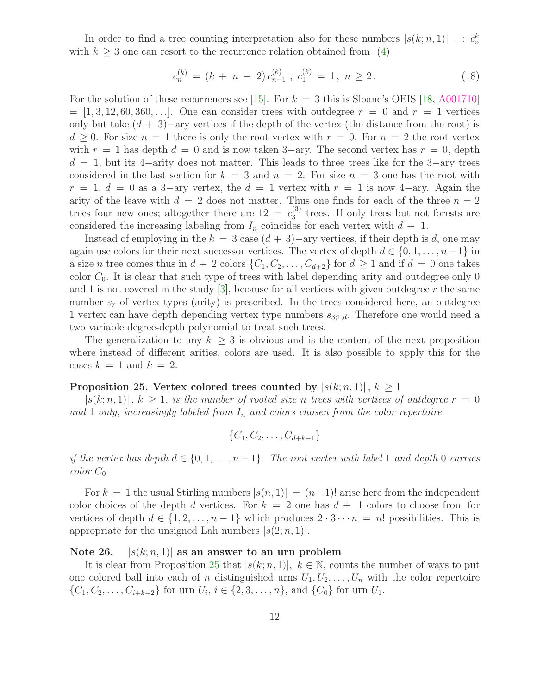In order to find a tree counting interpretation also for these numbers  $|s(k; n, 1)| =: c_n^k$ with  $k \geq 3$  one can resort to the recurrence relation obtained from [\(4\)](#page-1-0)

$$
c_n^{(k)} = (k + n - 2) c_{n-1}^{(k)}, \ c_1^{(k)} = 1, \ n \ge 2. \tag{18}
$$

For the solution of these recurrences see [\[15\]](#page-24-0). For  $k = 3$  this is Sloane's OEIS [\[18,](#page-25-1) [A001710\]](http://oeis.org/A001710)  $=[1, 3, 12, 60, 360, \ldots]$ . One can consider trees with outdegree  $r = 0$  and  $r = 1$  vertices only but take  $(d + 3)$ −ary vertices if the depth of the vertex (the distance from the root) is  $d > 0$ . For size  $n = 1$  there is only the root vertex with  $r = 0$ . For  $n = 2$  the root vertex with  $r = 1$  has depth  $d = 0$  and is now taken 3–ary. The second vertex has  $r = 0$ , depth  $d = 1$ , but its 4–arity does not matter. This leads to three trees like for the 3–ary trees considered in the last section for  $k = 3$  and  $n = 2$ . For size  $n = 3$  one has the root with  $r = 1, d = 0$  as a 3-ary vertex, the  $d = 1$  vertex with  $r = 1$  is now 4-ary. Again the arity of the leave with  $d = 2$  does not matter. Thus one finds for each of the three  $n = 2$ trees four new ones; altogether there are  $12 = c_3^{(3)}$  $_3^{(5)}$  trees. If only trees but not forests are considered the increasing labeling from  $I_n$  coincides for each vertex with  $d + 1$ .

Instead of employing in the  $k = 3$  case  $(d + 3)$ −ary vertices, if their depth is d, one may again use colors for their next successor vertices. The vertex of depth  $d \in \{0, 1, \ldots, n-1\}$  in a size n tree comes thus in  $d + 2$  colors  $\{C_1, C_2, \ldots, C_{d+2}\}$  for  $d \geq 1$  and if  $d = 0$  one takes color  $C_0$ . It is clear that such type of trees with label depending arity and outdegree only 0 and 1 is not covered in the study  $\lvert 3 \rvert$ , because for all vertices with given outdegree r the same number  $s_r$  of vertex types (arity) is prescribed. In the trees considered here, an outdegree 1 vertex can have depth depending vertex type numbers  $s_{3,1,d}$ . Therefore one would need a two variable degree-depth polynomial to treat such trees.

<span id="page-11-0"></span>The generalization to any  $k \geq 3$  is obvious and is the content of the next proposition where instead of different arities, colors are used. It is also possible to apply this for the cases  $k = 1$  and  $k = 2$ .

#### Proposition 25. Vertex colored trees counted by  $|s(k; n, 1)|, k \geq 1$

 $|s(k; n, 1)|$ ,  $k \geq 1$ , is the number of rooted size n trees with vertices of outdegree  $r = 0$ and 1 only, increasingly labeled from  $I_n$  and colors chosen from the color repertoire

$$
\{C_1, C_2, \ldots, C_{d+k-1}\}
$$

if the vertex has depth  $d \in \{0, 1, \ldots, n-1\}$ . The root vertex with label 1 and depth 0 carries  $color C_0.$ 

For  $k = 1$  the usual Stirling numbers  $|s(n, 1)| = (n-1)!$  arise here from the independent color choices of the depth d vertices. For  $k = 2$  one has  $d + 1$  colors to choose from for vertices of depth  $d \in \{1, 2, ..., n-1\}$  which produces  $2 \cdot 3 \cdots n = n!$  possibilities. This is appropriate for the unsigned Lah numbers  $|s(2; n, 1)|$ .

#### Note 26.  $|s(k; n, 1)|$  as an answer to an urn problem

It is clear from Proposition [25](#page-11-0) that  $|s(k; n, 1)|$ ,  $k \in \mathbb{N}$ , counts the number of ways to put one colored ball into each of n distinguished urns  $U_1, U_2, \ldots, U_n$  with the color repertoire  $\{C_1, C_2, \ldots, C_{i+k-2}\}\$ for urn  $U_i, i \in \{2, 3, \ldots, n\}$ , and  $\{C_0\}$  for urn  $U_1$ .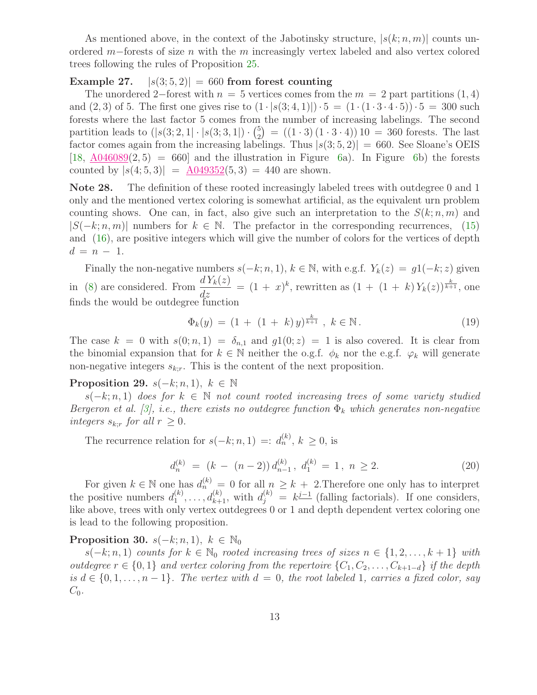As mentioned above, in the context of the Jabotinsky structure,  $|s(k; n, m)|$  counts unordered m−forests of size n with the m increasingly vertex labeled and also vertex colored trees following the rules of Proposition [25.](#page-11-0)

# Example 27.  $|s(3, 5, 2)| = 660$  from forest counting

The unordered 2−forest with  $n = 5$  vertices comes from the  $m = 2$  part partitions (1, 4) and (2, 3) of 5. The first one gives rise to  $(1 \cdot |s(3; 4, 1)|) \cdot 5 = (1 \cdot (1 \cdot 3 \cdot 4 \cdot 5)) \cdot 5 = 300$  such forests where the last factor 5 comes from the number of increasing labelings. The second partition leads to  $(|s(3; 2, 1| \cdot | s(3; 3, 1|) \cdot \binom{5}{2})$  $\binom{5}{2}$  =  $((1 \cdot 3) (1 \cdot 3 \cdot 4)) 10 = 360$  forests. The last factor comes again from the increasing labelings. Thus  $|s(3, 5, 2)| = 660$ . See Sloane's OEIS  $[18, \frac{\text{A}046089}{2,5}] = 660$  $[18, \frac{\text{A}046089}{2,5}] = 660$  and the illustration in Figure [6a](#page-23-0)). In Figure [6b](#page-23-0)) the forests counted by  $|s(4; 5, 3)| = \underline{A049352(5, 3)} = 440$  $|s(4; 5, 3)| = \underline{A049352(5, 3)} = 440$  $|s(4; 5, 3)| = \underline{A049352(5, 3)} = 440$  are shown.

Note 28. The definition of these rooted increasingly labeled trees with outdegree 0 and 1 only and the mentioned vertex coloring is somewhat artificial, as the equivalent urn problem counting shows. One can, in fact, also give such an interpretation to the  $S(k; n, m)$  and  $|S(-k; n, m)|$  numbers for  $k \in \mathbb{N}$ . The prefactor in the corresponding recurrences, [\(15\)](#page-6-2) and [\(16\)](#page-8-1), are positive integers which will give the number of colors for the vertices of depth  $d = n - 1$ .

Finally the non-negative numbers  $s(-k; n, 1)$ ,  $k \in \mathbb{N}$ , with e.g.f.  $Y_k(z) = g1(-k; z)$  given in [\(8\)](#page-2-1) are considered. From  $\frac{dY_k(z)}{dz}$  $\frac{dY_k(z)}{dz} = (1+x)^k$ , rewritten as  $(1+(1+k)Y_k(z))^{\frac{k}{k+1}}$ , one finds the would be outdegree function

$$
\Phi_k(y) = (1 + (1 + k)y)^{\frac{k}{k+1}}, \ k \in \mathbb{N}.
$$
 (19)

The case  $k = 0$  with  $s(0; n, 1) = \delta_{n,1}$  and  $g(1(0; z) = 1$  is also covered. It is clear from the binomial expansion that for  $k \in \mathbb{N}$  neither the o.g.f.  $\phi_k$  nor the e.g.f.  $\varphi_k$  will generate non-negative integers  $s_{k,r}$ . This is the content of the next proposition.

## **Proposition 29.**  $s(-k; n, 1)$ ,  $k \in \mathbb{N}$

 $s(-k; n, 1)$  does for  $k \in \mathbb{N}$  not count rooted increasing trees of some variety studied Bergeron et al. [\[3\]](#page-24-6), i.e., there exists no outdegree function  $\Phi_k$  which generates non-negative integers  $s_{k:r}$  for all  $r \geq 0$ .

The recurrence relation for  $s(-k; n, 1) =: d_n^{(k)}$ ,  $k \geq 0$ , is

$$
d_n^{(k)} = (k - (n-2)) d_{n-1}^{(k)}, d_1^{(k)} = 1, n \ge 2.
$$
 (20)

For given  $k \in \mathbb{N}$  one has  $d_n^{(k)} = 0$  for all  $n \geq k + 2$ . Therefore one only has to interpret the positive numbers  $d_1^{(k)}$  $a_1^{(k)}, \ldots, a_{k+1}^{(k)}$ , with  $d_j^{(k)} = k^{j-1}$  (falling factorials). If one considers, like above, trees with only vertex outdegrees 0 or 1 and depth dependent vertex coloring one is lead to the following proposition.

## <span id="page-12-0"></span>Proposition 30.  $s(-k; n, 1)$ ,  $k \in \mathbb{N}_0$

 $s(-k; n, 1)$  counts for  $k \in \mathbb{N}_0$  rooted increasing trees of sizes  $n \in \{1, 2, \ldots, k+1\}$  with outdegree  $r \in \{0, 1\}$  and vertex coloring from the repertoire  $\{C_1, C_2, \ldots, C_{k+1-d}\}\$ if the depth is  $d \in \{0, 1, \ldots, n-1\}$ . The vertex with  $d = 0$ , the root labeled 1, carries a fixed color, say  $C_0$ .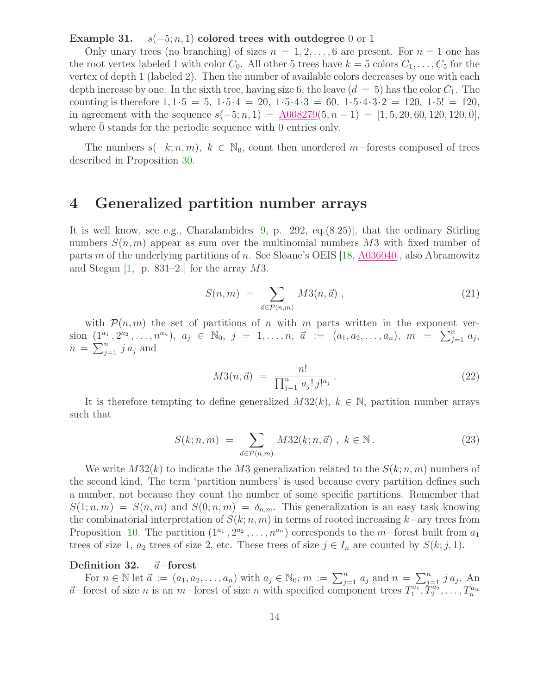#### Example 31.  $s(-5; n, 1)$  colored trees with outdegree 0 or 1

Only unary trees (no branching) of sizes  $n = 1, 2, \ldots, 6$  are present. For  $n = 1$  one has the root vertex labeled 1 with color  $C_0$ . All other 5 trees have  $k = 5$  colors  $C_1, \ldots, C_5$  for the vertex of depth 1 (labeled 2). Then the number of available colors decreases by one with each depth increase by one. In the sixth tree, having size 6, the leave  $(d = 5)$  has the color  $C_1$ . The counting is therefore  $1, 1 \cdot 5 = 5$ ,  $1 \cdot 5 \cdot 4 = 20$ ,  $1 \cdot 5 \cdot 4 \cdot 3 = 60$ ,  $1 \cdot 5 \cdot 4 \cdot 3 \cdot 2 = 120$ ,  $1 \cdot 5! = 120$ , in agreement with the sequence  $s(-5; n, 1) = \underline{A008279}(5, n-1) = [1, 5, 20, 60, 120, 120, 0],$ where  $\theta$  stands for the periodic sequence with  $\theta$  entries only.

The numbers  $s(-k; n, m)$ ,  $k \in \mathbb{N}_0$ , count then unordered m-forests composed of trees described in Proposition [30.](#page-12-0)

# 4 Generalized partition number arrays

It is well know, see e.g., Charalambides [\[9,](#page-24-5) p. 292, eq.(8.25)], that the ordinary Stirling numbers  $S(n, m)$  appear as sum over the multinomial numbers M3 with fixed number of parts m of the underlying partitions of n. See Sloane's OEIS [\[18,](#page-25-1) [A036040\]](http://oeis.org/A036040), also Abramowitz and Stegun  $[1, p. 831-2]$  for the array M3.

$$
S(n,m) = \sum_{\vec{a} \in \mathcal{P}(n,m)} M3(n,\vec{a}) , \qquad (21)
$$

<span id="page-13-1"></span>with  $\mathcal{P}(n,m)$  the set of partitions of n with m parts written in the exponent version  $(1^{a_1}, 2^{a_2}, \ldots, n^{a_n}), a_j \in \mathbb{N}_0, j = 1, \ldots, n, \vec{a} := (a_1, a_2, \ldots, a_n), m = \sum_{j=1}^n a_j,$  $n = \sum_{j=1}^{n} j a_j$  and

$$
M3(n, \vec{a}) = \frac{n!}{\prod_{j=1}^{n} a_j! j!^{a_j}}.
$$
\n(22)

<span id="page-13-0"></span>It is therefore tempting to define generalized  $M32(k)$ ,  $k \in \mathbb{N}$ , partition number arrays such that

$$
S(k; n, m) = \sum_{\vec{a} \in \mathcal{P}(n,m)} M32(k; n, \vec{a}), \ k \in \mathbb{N}.
$$
 (23)

We write  $M32(k)$  to indicate the M3 generalization related to the  $S(k; n, m)$  numbers of the second kind. The term 'partition numbers' is used because every partition defines such a number, not because they count the number of some specific partitions. Remember that  $S(1; n, m) = S(n, m)$  and  $S(0; n, m) = \delta_{n,m}$ . This generalization is an easy task knowing the combinatorial interpretation of  $S(k; n, m)$  in terms of rooted increasing k–ary trees from Proposition [10.](#page-5-1) The partition  $(1^{a_1}, 2^{a_2}, \ldots, n^{a_n})$  corresponds to the m-forest built from  $a_1$ trees of size 1,  $a_2$  trees of size 2, etc. These trees of size  $j \in I_n$  are counted by  $S(k; j, 1)$ .

#### Definition 32.  $\vec{a}$ −forest

For  $n \in \mathbb{N}$  let  $\vec{a} := (a_1, a_2, \dots, a_n)$  with  $a_j \in \mathbb{N}_0$ ,  $m := \sum_{j=1}^n a_j$  and  $n = \sum_{j=1}^n j a_j$ . An  $\vec{a}$ −forest of size n is an m−forest of size n with specified component trees  $T_1^{a_1}$  $T_1^{a_1}, T_2^{a_2}, \ldots, T_n^{a_n}$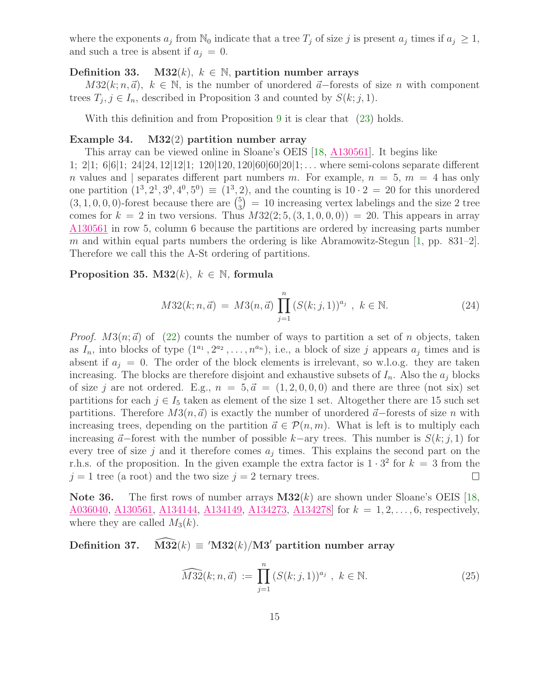where the exponents  $a_j$  from  $\mathbb{N}_0$  indicate that a tree  $T_j$  of size j is present  $a_j$  times if  $a_j \geq 1$ , and such a tree is absent if  $a_j = 0$ .

#### <span id="page-14-0"></span>Definition 33. M32 $(k)$ ,  $k \in \mathbb{N}$ , partition number arrays

 $M32(k; n, \vec{a})$ ,  $k \in \mathbb{N}$ , is the number of unordered  $\vec{a}$ -forests of size n with component trees  $T_j$ ,  $j \in I_n$ , described in Proposition 3 and counted by  $S(k; j, 1)$ .

With this definition and from Proposition [9](#page-5-2) it is clear that [\(23\)](#page-13-0) holds.

#### Example 34. M32(2) partition number array

This array can be viewed online in Sloane's OEIS [\[18,](#page-25-1) [A130561\]](http://oeis.org/A130561). It begins like

1; 2|1; 6|6|1; 24|24, 12|12|1; 120|120, 120|60|60|20|1; . . . where semi-colons separate different n values and separates different part numbers m. For example,  $n = 5$ ,  $m = 4$  has only one partition  $(1^3, 2^1, 3^0, 4^0, 5^0) \equiv (1^3, 2)$ , and the counting is  $10 \cdot 2 = 20$  for this unordered  $(3, 1, 0, 0, 0)$ -forest because there are  $\binom{5}{3}$  $\binom{5}{3}$  = 10 increasing vertex labelings and the size 2 tree comes for  $k = 2$  in two versions. Thus  $M32(2; 5, (3, 1, 0, 0, 0)) = 20$ . This appears in array [A130561](http://oeis.org/A130561) in row 5, column 6 because the partitions are ordered by increasing parts number m and within equal parts numbers the ordering is like Abramowitz-Stegun  $[1, pp. 831-2]$ . Therefore we call this the A-St ordering of partitions.

# <span id="page-14-1"></span>Proposition 35. M32 $(k)$ ,  $k \in \mathbb{N}$ , formula

$$
M32(k; n, \vec{a}) = M3(n, \vec{a}) \prod_{j=1}^{n} (S(k; j, 1))^{a_j}, \ k \in \mathbb{N}.
$$
 (24)

*Proof.*  $M3(n;\vec{a})$  of [\(22\)](#page-13-1) counts the number of ways to partition a set of n objects, taken as  $I_n$ , into blocks of type  $(1^{a_1}, 2^{a_2}, \ldots, n^{a_n})$ , i.e., a block of size j appears  $a_j$  times and is absent if  $a_i = 0$ . The order of the block elements is irrelevant, so w.l.o.g. they are taken increasing. The blocks are therefore disjoint and exhaustive subsets of  $I_n$ . Also the  $a_j$  blocks of size j are not ordered. E.g.,  $n = 5, \vec{a} = (1, 2, 0, 0, 0)$  and there are three (not six) set partitions for each  $j \in I_5$  taken as element of the size 1 set. Altogether there are 15 such set partitions. Therefore  $M3(n,\vec{a})$  is exactly the number of unordered  $\vec{a}$ −forests of size n with increasing trees, depending on the partition  $\vec{a} \in \mathcal{P}(n, m)$ . What is left is to multiply each increasing  $\vec{a}$ −forest with the number of possible k−ary trees. This number is  $S(k; j, 1)$  for every tree of size  $j$  and it therefore comes  $a_j$  times. This explains the second part on the r.h.s. of the proposition. In the given example the extra factor is  $1 \cdot 3^2$  for  $k = 3$  from the  $j = 1$  tree (a root) and the two size  $j = 2$  ternary trees.  $\Box$ 

**Note 36.** The first rows of number arrays  $M32(k)$  are shown under Sloane's OEIS [\[18,](#page-25-1)  $A036040, A130561, A134144, A134149, A134273, A134278$  $A036040, A130561, A134144, A134149, A134273, A134278$  $A036040, A130561, A134144, A134149, A134273, A134278$  $A036040, A130561, A134144, A134149, A134273, A134278$  $A036040, A130561, A134144, A134149, A134273, A134278$  $A036040, A130561, A134144, A134149, A134273, A134278$  $A036040, A130561, A134144, A134149, A134273, A134278$  $A036040, A130561, A134144, A134149, A134273, A134278$  $A036040, A130561, A134144, A134149, A134273, A134278$  $A036040, A130561, A134144, A134149, A134273, A134278$  for  $k = 1, 2, ..., 6$ , respectively, where they are called  $M_3(k)$ .

Definition 37. M32 $(k) \equiv$  'M32 $(k)/M3$ ' partition number array

$$
\widehat{M32}(k; n, \vec{a}) := \prod_{j=1}^{n} (S(k; j, 1))^{a_j}, \ k \in \mathbb{N}.
$$
 (25)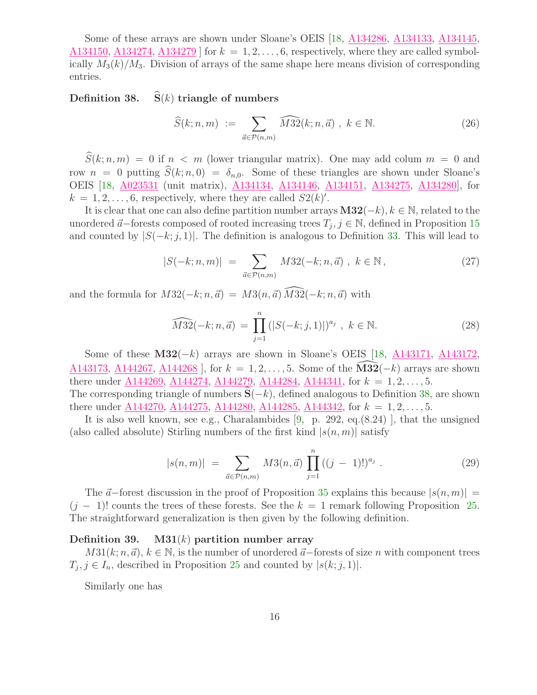Some of these arrays are shown under Sloane's OEIS [\[18,](#page-25-1) [A134286,](http://oeis.org/A134286) [A134133,](http://oeis.org/A134133) [A134145,](http://oeis.org/A134145) [A134150,](http://oeis.org/A134150) [A134274,](http://oeis.org/A134274) [A134279](http://oeis.org/A134279)  $\vert$  for  $k = 1, 2, \ldots, 6$ , respectively, where they are called symbolically  $M_3(k)/M_3$ . Division of arrays of the same shape here means division of corresponding entries.

# <span id="page-15-0"></span>Definition 38.  $\hat{S}(k)$  triangle of numbers

$$
\widehat{S}(k;n,m) := \sum_{\vec{a} \in \mathcal{P}(n,m)} \widehat{M32}(k;n,\vec{a}) , k \in \mathbb{N}.
$$
 (26)

 $\widehat{S}(k; n, m) = 0$  if  $n < m$  (lower triangular matrix). One may add colum  $m = 0$  and row  $n = 0$  putting  $\widehat{S}(k; n, 0) = \delta_{n,0}$ . Some of these triangles are shown under Sloane's OEIS [\[18,](#page-25-1) [A023531](http://oeis.org/A023531) (unit matrix), [A134134,](http://oeis.org/A134134) [A134146,](http://oeis.org/A134146) [A134151,](http://oeis.org/A134151) [A134275,](http://oeis.org/A134275) [A134280\]](http://oeis.org/A134280), for  $k = 1, 2, \ldots, 6$ , respectively, where they are called  $S2(k)$ .

It is clear that one can also define partition number arrays  $M32(-k)$ ,  $k \in \mathbb{N}$ , related to the unordered  $\vec{a}$ –forests composed of rooted increasing trees  $T_j$ ,  $j \in \mathbb{N}$ , defined in Proposition [15](#page-7-2) and counted by  $|S(-k; j, 1)|$ . The definition is analogous to Definition [33.](#page-14-0) This will lead to

$$
|S(-k; n, m)| = \sum_{\vec{a} \in \mathcal{P}(n, m)} M32(-k; n, \vec{a}) , k \in \mathbb{N},
$$
 (27)

and the formula for  $M32(-k; n, \vec{a}) = M3(n, \vec{a}) \overline{M32}(-k; n, \vec{a})$  with

$$
\widehat{M32}(-k; n, \vec{a}) = \prod_{j=1}^{n} (|S(-k; j, 1)|)^{a_j}, \ k \in \mathbb{N}.
$$
 (28)

Some of these  $M32(-k)$  arrays are shown in Sloane's OEIS [\[18,](#page-25-1) [A143171,](http://oeis.org/A143171) [A143172,](http://oeis.org/A143172) [A143173,](http://oeis.org/A143173) [A144267,](http://oeis.org/A144267) [A144268](http://oeis.org/A144268) ], for  $k = 1, 2, ..., 5$ . Some of the  $\widehat{M}3\widehat{2}(-k)$  arrays are shown there under [A144269,](http://oeis.org/A144269) [A144274,](http://oeis.org/A144274) [A144279,](http://oeis.org/A144279) [A144284,](http://oeis.org/A144284) [A144341,](http://oeis.org/A144341) for  $k = 1, 2, ..., 5$ . The corresponding triangle of numbers  $S(-k)$ , defined analogous to Definition [38,](#page-15-0) are shown

there under [A144270,](http://oeis.org/A144270) [A144275,](http://oeis.org/A144275) [A144280,](http://oeis.org/A144280) [A144285,](http://oeis.org/A144285) [A144342,](http://oeis.org/A144342) for  $k = 1, 2, ..., 5$ . It is also well known, see e.g., Charalambides [\[9,](#page-24-5) p. 292, eq.(8.24) ], that the unsigned (also called absolute) Stirling numbers of the first kind  $|s(n, m)|$  satisfy

$$
|s(n,m)| = \sum_{\vec{a}\in\mathcal{P}(n,m)} M3(n,\vec{a}) \prod_{j=1}^{n} ((j-1)!)^{a_j} . \tag{29}
$$

The  $\vec{a}$ −forest discussion in the proof of Proposition [35](#page-14-1) explains this because  $|s(n, m)| =$  $(j - 1)!$  counts the trees of these forests. See the  $k = 1$  remark following Proposition [25.](#page-11-0) The straightforward generalization is then given by the following definition.

## Definition 39. M31 $(k)$  partition number array

 $M31(k; n, \vec{a})$ ,  $k \in \mathbb{N}$ , is the number of unordered  $\vec{a}$ −forests of size n with component trees  $T_j, j \in I_n$ , described in Proposition [25](#page-11-0) and counted by  $|s(k; j, 1)|$ .

Similarly one has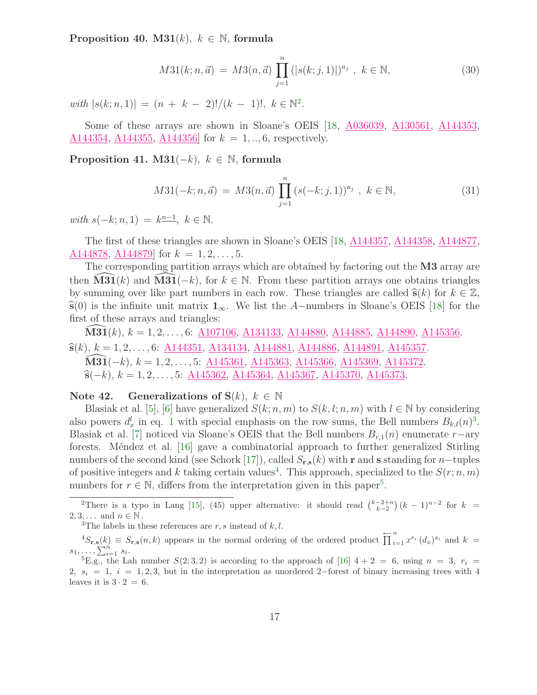Proposition 40. M31 $(k)$ ,  $k \in \mathbb{N}$ , formula

$$
M31(k; n, \vec{a}) = M3(n, \vec{a}) \prod_{j=1}^{n} (|s(k; j, 1)|)^{a_j}, \ k \in \mathbb{N},
$$
 (30)

with  $|s(k; n, 1)| = (n + k - 2)!/(k - 1)!, \ k \in \mathbb{N}^2$  $|s(k; n, 1)| = (n + k - 2)!/(k - 1)!, \ k \in \mathbb{N}^2$  $|s(k; n, 1)| = (n + k - 2)!/(k - 1)!, \ k \in \mathbb{N}^2$ .

Some of these arrays are shown in Sloane's OEIS [\[18,](#page-25-1) [A036039,](http://oeis.org/A036039) [A130561,](http://oeis.org/A130561) [A144353,](http://oeis.org/A144353)  $A144354, A144355, A144356$  $A144354, A144355, A144356$  $A144354, A144355, A144356$  $A144354, A144355, A144356$  for  $k = 1, ..., 6$ , respectively.

Proposition 41. M31( $-k$ ),  $k \in \mathbb{N}$ , formula

$$
M31(-k; n, \vec{a}) = M3(n, \vec{a}) \prod_{j=1}^{n} (s(-k; j, 1))^{a_j}, \ k \in \mathbb{N},
$$
\n(31)

with  $s(-k; n, 1) = k^{\underline{n-1}}, k \in \mathbb{N}.$ 

The first of these triangles are shown in Sloane's OEIS [\[18,](#page-25-1) [A144357,](http://oeis.org/A144357) [A144358,](http://oeis.org/A144358) [A144877,](http://oeis.org/A144877) [A144878,](http://oeis.org/A144878) A144879 for  $k = 1, 2, ..., 5$ .

The corresponding partition arrays which are obtained by factoring out the **M3** array are then  $\text{M31}(k)$  and  $\text{M31}(-k)$ , for  $k \in \mathbb{N}$ . From these partition arrays one obtains triangles by summing over like part numbers in each row. These triangles are called  $\hat{\mathbf{s}}(k)$  for  $k \in \mathbb{Z}$ ,  $\hat{\mathbf{s}}(0)$  is the infinite unit matrix  $\mathbf{1}_{\infty}$ . We list the A-numbers in Sloane's OEIS [\[18\]](#page-25-1) for the first of these arrays and triangles:

**M31** $(k)$ ,  $k = 1, 2, \ldots, 6$ : <u>A107106</u>, [A134133,](http://oeis.org/A134133) [A144880,](http://oeis.org/A144880) [A144885,](http://oeis.org/A144885) [A144890,](http://oeis.org/A144890) [A145356.](http://oeis.org/A145356)  $\hat{\mathbf{s}}(k), k = 1, 2, \ldots, 6$ : [A144351,](http://oeis.org/A144351) [A134134,](http://oeis.org/A134134) [A144881,](http://oeis.org/A144881) [A144886,](http://oeis.org/A144886) [A144891,](http://oeis.org/A144891) [A145357.](http://oeis.org/A145357)  $\widehat{M}3\widehat{1}(-k), k = 1, 2, \ldots, 5$ : [A145361,](http://oeis.org/A145361) [A145363,](http://oeis.org/A145363) [A145366,](http://oeis.org/A145366) [A145369,](http://oeis.org/A145369) [A145372.](http://oeis.org/A145372)  $\hat{\mathbf{s}}(-k), k = 1, 2, \ldots, 5: \underline{A145362}, \underline{A145364}, \underline{A145367}, \underline{A145370}, \underline{A145373}.$ 

## Note 42. Generalizations of  $S(k)$ ,  $k \in \mathbb{N}$

Blasiak et al. [\[5\]](#page-24-12), [\[6\]](#page-24-13) have generalized  $S(k; n, m)$  to  $S(k, l; n, m)$  with  $l \in \mathbb{N}$  by considering also powers  $d_x^l$  in eq. [1](#page-0-1) with special emphasis on the row sums, the Bell numbers  $B_{k,l}(n)^3$  $B_{k,l}(n)^3$ . Blasiak et al. [\[7\]](#page-24-14) noticed via Sloane's OEIS that the Bell numbers  $B_{r,1}(n)$  enumerate r−ary forests. Méndez et al.  $[16]$  gave a combinatorial approach to further generalized Stirling numbers of the second kind (see Schork [\[17\]](#page-25-4)), called  $S_{\mathbf{r},\mathbf{s}}(k)$  with r and s standing for n-tuples of positive integers and k taking certain values<sup>[4](#page-16-2)</sup>. This approach, specialized to the  $S(r; n, m)$ numbers for  $r \in \mathbb{N}$ , differs from the interpretation given in this paper<sup>[5](#page-16-3)</sup>.

<span id="page-16-0"></span><sup>&</sup>lt;sup>2</sup>There is a typo in Lang [\[15\]](#page-24-0), (45) upper alternative: it should read  $\binom{k-2+n}{k-2}(k-1)^{n-2}$  for  $k =$  $2, 3, \ldots$  and  $n \in \mathbb{N}$ .

<sup>&</sup>lt;sup>3</sup>The labels in these references are  $r, s$  instead of  $k, l$ .

<span id="page-16-2"></span><span id="page-16-1"></span> ${}^4S_{\mathbf{r},\mathbf{s}}(k) \equiv S_{\mathbf{r},\mathbf{s}}(n,k)$  appears in the normal ordering of the ordered product  $\prod_{i=1}^n x^{r_i} (d_x)^{s_i}$  and  $k =$  $s_1, \ldots, \sum_{i=1}^n s_i.$ 

<span id="page-16-3"></span><sup>&</sup>lt;sup>5</sup>E.g., the Lah number  $S(2,3,2)$  is according to the approach of [\[16\]](#page-25-3)  $4+2=6$ , using  $n=3$ ,  $r<sub>i</sub> =$ 2,  $s_i = 1$ ,  $i = 1, 2, 3$ , but in the interpretation as unordered 2−forest of binary increasing trees with 4 leaves it is  $3 \cdot 2 = 6$ .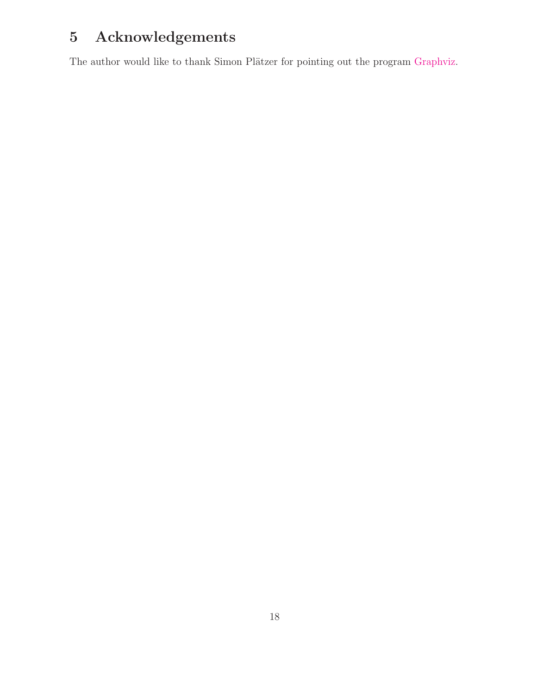# 5 Acknowledgements

The author would like to thank Simon Plätzer for pointing out the program [Graphviz.](http://www.graphviz.org)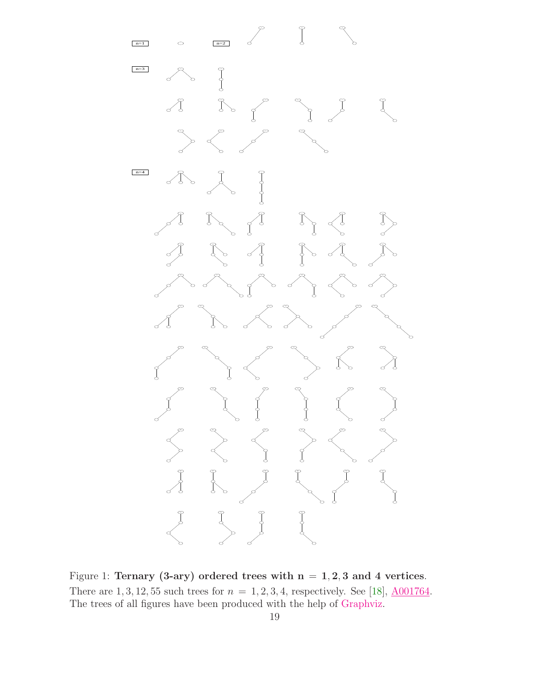

<span id="page-18-0"></span>Figure 1: Ternary (3-ary) ordered trees with  $n = 1, 2, 3$  and 4 vertices. There are 1, 3, 12, 55 such trees for  $n = 1, 2, 3, 4$ , respectively. See [\[18\]](#page-25-1),  $\underline{A001764}$ . The trees of all figures have been produced with the help of [Graphviz.](http://www.graphviz.org)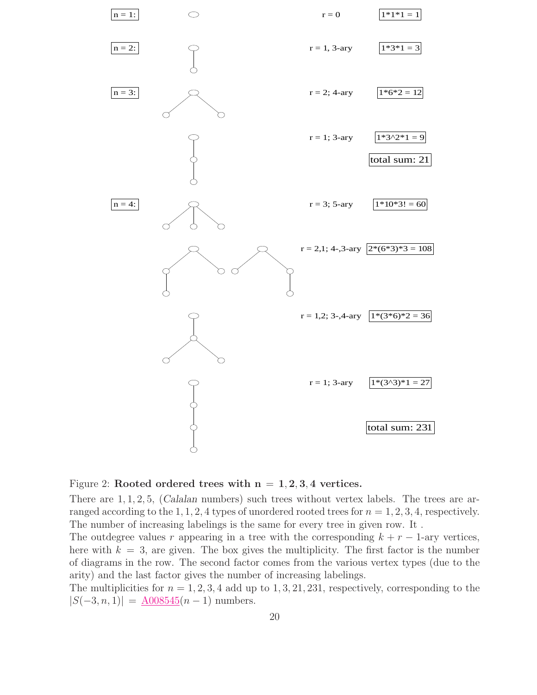

<span id="page-19-0"></span>

There are  $1, 1, 2, 5$ , (Calalan numbers) such trees without vertex labels. The trees are arranged according to the 1, 1, 2, 4 types of unordered rooted trees for  $n = 1, 2, 3, 4$ , respectively. The number of increasing labelings is the same for every tree in given row. It .

The outdegree values r appearing in a tree with the corresponding  $k + r - 1$ -ary vertices, here with  $k = 3$ , are given. The box gives the multiplicity. The first factor is the number of diagrams in the row. The second factor comes from the various vertex types (due to the arity) and the last factor gives the number of increasing labelings.

The multiplicities for  $n = 1, 2, 3, 4$  add up to 1, 3, 21, 231, respectively, corresponding to the  $|S(-3, n, 1)| = \text{\textsterling}008545(n-1)$  numbers.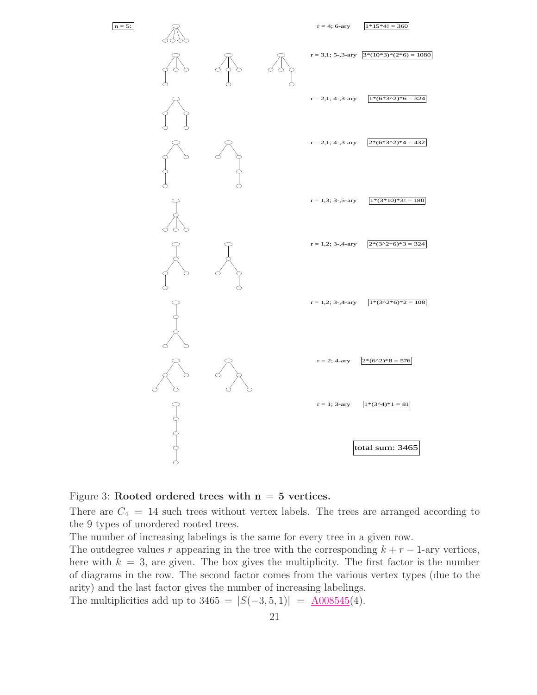

<span id="page-20-0"></span>

There are  $C_4 = 14$  such trees without vertex labels. The trees are arranged according to the 9 types of unordered rooted trees.

The number of increasing labelings is the same for every tree in a given row.

The outdegree values r appearing in the tree with the corresponding  $k + r - 1$ -ary vertices, here with  $k = 3$ , are given. The box gives the multiplicity. The first factor is the number of diagrams in the row. The second factor comes from the various vertex types (due to the arity) and the last factor gives the number of increasing labelings.

The multiplicities add up to  $3465 = |S(-3, 5, 1)| = \text{\textsterling}008545(4)$ .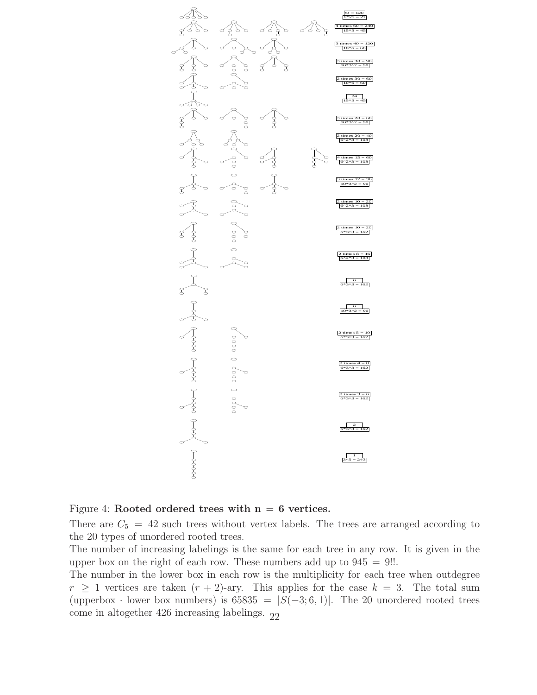

<span id="page-21-0"></span>Figure 4: Rooted ordered trees with  $n = 6$  vertices.

There are  $C_5 = 42$  such trees without vertex labels. The trees are arranged according to the 20 types of unordered rooted trees.

The number of increasing labelings is the same for each tree in any row. It is given in the upper box on the right of each row. These numbers add up to  $945 = 9!!$ .

The number in the lower box in each row is the multiplicity for each tree when outdegree  $r \geq 1$  vertices are taken  $(r + 2)$ -ary. This applies for the case  $k = 3$ . The total sum (upperbox · lower box numbers) is  $65835 = |S(-3,6,1)|$ . The 20 unordered rooted trees come in altogether 426 increasing labelings.  $22$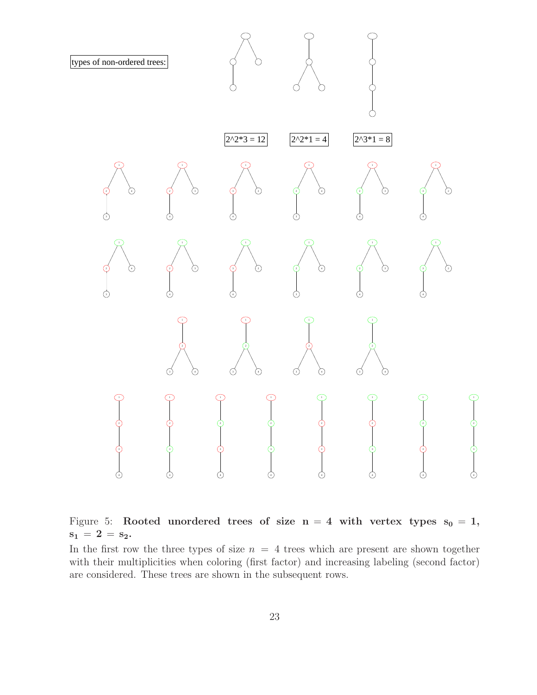

<span id="page-22-0"></span>Figure 5: Rooted unordered trees of size  $n = 4$  with vertex types  $s_0 = 1$ ,  $s_1 = 2 = s_2.$ 

In the first row the three types of size  $n = 4$  trees which are present are shown together with their multiplicities when coloring (first factor) and increasing labeling (second factor) are considered. These trees are shown in the subsequent rows.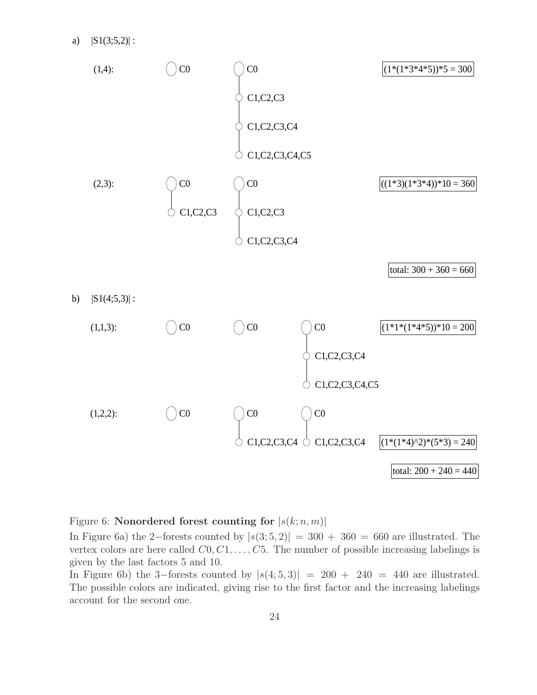

# <span id="page-23-0"></span>Figure 6: Nonordered forest counting for  $|s(k; n, m)|$

In Figure 6a) the 2–forests counted by  $|s(3; 5, 2)| = 300 + 360 = 660$  are illustrated. The vertex colors are here called  $C_0, C_1, \ldots, C_5$ . The number of possible increasing labelings is given by the last factors 5 and 10.

In Figure 6b) the 3–forests counted by  $|s(4, 5, 3)| = 200 + 240 = 440$  are illustrated. The possible colors are indicated, giving rise to the first factor and the increasing labelings account for the second one.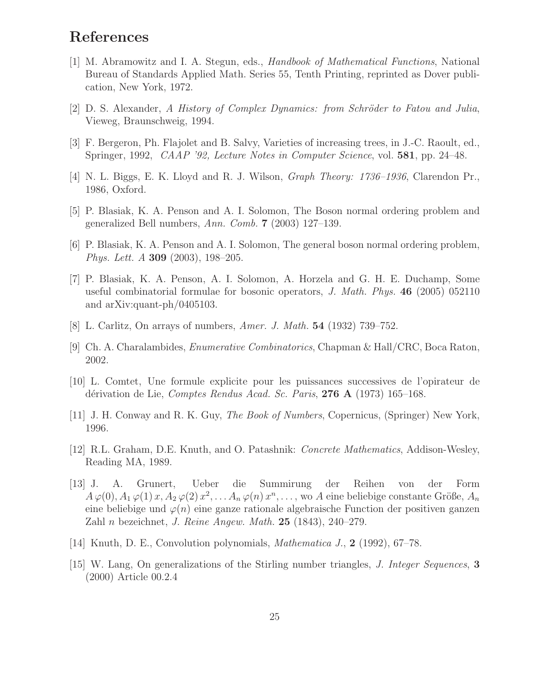# <span id="page-24-8"></span>References

- [1] M. Abramowitz and I. A. Stegun, eds., Handbook of Mathematical Functions, National Bureau of Standards Applied Math. Series 55, Tenth Printing, reprinted as Dover publication, New York, 1972.
- <span id="page-24-7"></span><span id="page-24-6"></span> $[2]$  D. S. Alexander, A History of Complex Dynamics: from Schröder to Fatou and Julia, Vieweg, Braunschweig, 1994.
- <span id="page-24-10"></span>[3] F. Bergeron, Ph. Flajolet and B. Salvy, Varieties of increasing trees, in J.-C. Raoult, ed., Springer, 1992, CAAP '92, Lecture Notes in Computer Science, vol. 581, pp. 24–48.
- <span id="page-24-12"></span>[4] N. L. Biggs, E. K. Lloyd and R. J. Wilson, Graph Theory: 1736–1936, Clarendon Pr., 1986, Oxford.
- <span id="page-24-13"></span>[5] P. Blasiak, K. A. Penson and A. I. Solomon, The Boson normal ordering problem and generalized Bell numbers, Ann. Comb. 7 (2003) 127–139.
- [6] P. Blasiak, K. A. Penson and A. I. Solomon, The general boson normal ordering problem, Phys. Lett. A 309 (2003), 198–205.
- <span id="page-24-14"></span>[7] P. Blasiak, K. A. Penson, A. I. Solomon, A. Horzela and G. H. E. Duchamp, Some useful combinatorial formulae for bosonic operators, J. Math. Phys.  $46$  (2005) 052110 and arXiv:quant-ph/0405103.
- <span id="page-24-5"></span><span id="page-24-1"></span>[8] L. Carlitz, On arrays of numbers, Amer. J. Math. 54 (1932) 739–752.
- <span id="page-24-2"></span>[9] Ch. A. Charalambides, Enumerative Combinatorics, Chapman & Hall/CRC, Boca Raton, 2002.
- [10] L. Comtet, Une formule explicite pour les puissances successives de l'opirateur de dérivation de Lie, Comptes Rendus Acad. Sc. Paris, 276  $\bf{A}$  (1973) 165–168.
- <span id="page-24-9"></span><span id="page-24-4"></span>[11] J. H. Conway and R. K. Guy, The Book of Numbers, Copernicus, (Springer) New York, 1996.
- [12] R.L. Graham, D.E. Knuth, and O. Patashnik: Concrete Mathematics, Addison-Wesley, Reading MA, 1989.
- <span id="page-24-3"></span>[13] J. A. Grunert, Ueber die Summirung der Reihen von der Form  $A\,\varphi(0), A_1\,\varphi(1)\,x, A_2\,\varphi(2)\,x^2, \ldots, A_n\,\varphi(n)\,x^n, \ldots$ , wo A eine beliebige constante Größe,  $A_n$ eine beliebige und  $\varphi(n)$  eine ganze rationale algebraische Function der positiven ganzen Zahl n bezeichnet, J. Reine Angew. Math. 25 (1843), 240–279.
- <span id="page-24-11"></span><span id="page-24-0"></span>[14] Knuth, D. E., Convolution polynomials, Mathematica J., 2 (1992), 67–78.
- [15] W. Lang, On generalizations of the Stirling number triangles, J. Integer Sequences, 3 (2000) Article 00.2.4